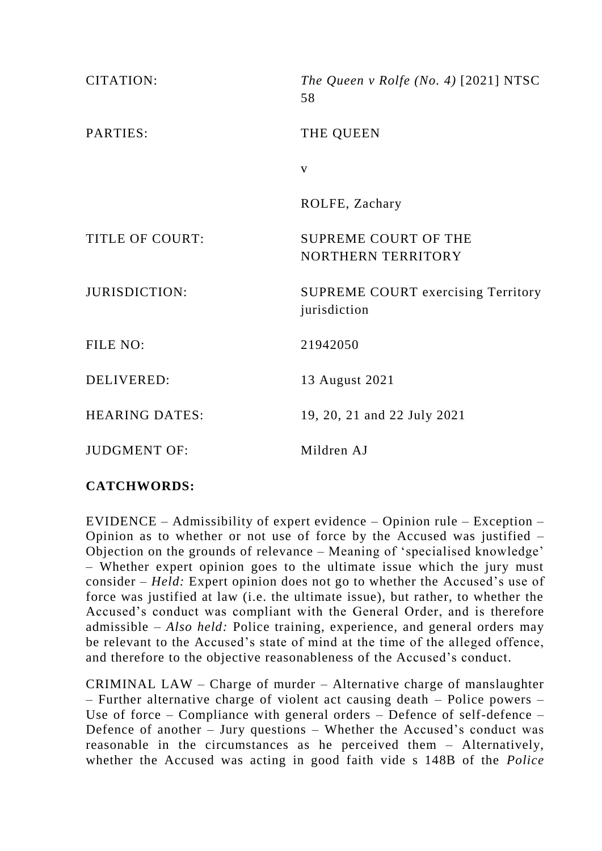| CITATION:              | The Queen v Rolfe (No. 4) $[2021] NTSC$<br>58             |
|------------------------|-----------------------------------------------------------|
| PARTIES:               | THE QUEEN                                                 |
|                        | V                                                         |
|                        | ROLFE, Zachary                                            |
| <b>TITLE OF COURT:</b> | <b>SUPREME COURT OF THE</b><br>NORTHERN TERRITORY         |
| <b>JURISDICTION:</b>   | <b>SUPREME COURT exercising Territory</b><br>jurisdiction |
| FILE NO:               | 21942050                                                  |
| <b>DELIVERED:</b>      | 13 August 2021                                            |
| <b>HEARING DATES:</b>  | 19, 20, 21 and 22 July 2021                               |
| <b>JUDGMENT OF:</b>    | Mildren AJ                                                |

# **CATCHWORDS:**

EVIDENCE – Admissibility of expert evidence – Opinion rule – Exception – Opinion as to whether or not use of force by the Accused was justified – Objection on the grounds of relevance – Meaning of 'specialised knowledge' – Whether expert opinion goes to the ultimate issue which the jury must consider – *Held:* Expert opinion does not go to whether the Accused's use of force was justified at law (i.e. the ultimate issue), but rather, to whether the Accused's conduct was compliant with the General Order, and is therefore admissible – *Also held:* Police training, experience, and general orders may be relevant to the Accused's state of mind at the time of the alleged offence, and therefore to the objective reasonableness of the Accused's conduct.

CRIMINAL LAW – Charge of murder – Alternative charge of manslaughter – Further alternative charge of violent act causing death – Police powers – Use of force – Compliance with general orders – Defence of self-defence – Defence of another – Jury questions – Whether the Accused's conduct was reasonable in the circumstances as he perceived them – Alternatively, whether the Accused was acting in good faith vide s 148B of the *Police*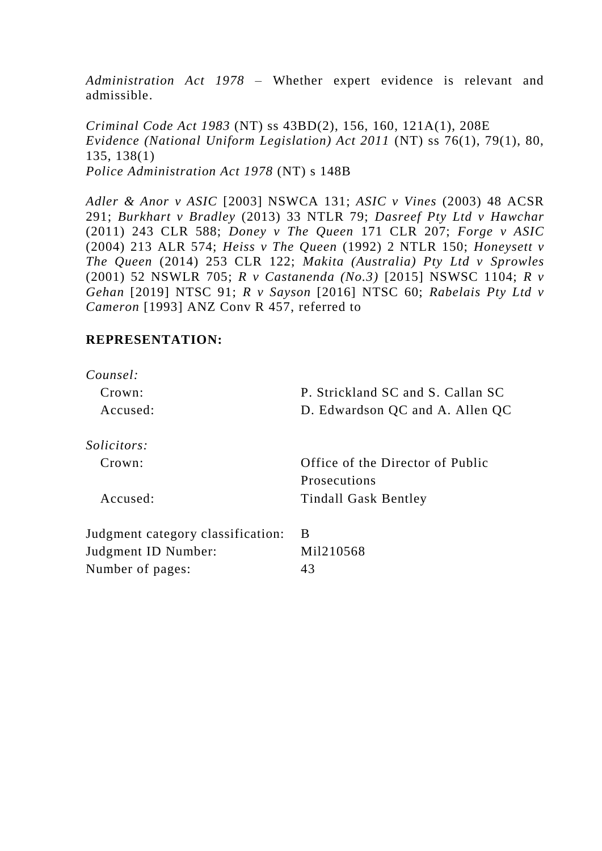*Administration Act 1978* – Whether expert evidence is relevant and admissible.

*Criminal Code Act 1983* (NT) ss 43BD(2), 156, 160, 121A(1), 208E *Evidence (National Uniform Legislation) Act 2011* (NT) ss 76(1), 79(1), 80, 135, 138(1) *Police Administration Act 1978* (NT) s 148B

*Adler & Anor v ASIC* [2003] NSWCA 131; *ASIC v Vines* (2003) 48 ACSR 291; *Burkhart v Bradley* (2013) 33 NTLR 79; *Dasreef Pty Ltd v Hawchar* (2011) 243 CLR 588; *Doney v The Queen* 171 CLR 207; *Forge v ASIC* (2004) 213 ALR 574; *Heiss v The Queen* (1992) 2 NTLR 150; *Honeysett v The Queen* (2014) 253 CLR 122; *Makita (Australia) Pty Ltd v Sprowles*  (2001) 52 NSWLR 705; *R v Castanenda (No.3)* [2015] NSWSC 1104; *R v Gehan* [2019] NTSC 91; *R v Sayson* [2016] NTSC 60; *Rabelais Pty Ltd v Cameron* [1993] ANZ Conv R 457, referred to

# **REPRESENTATION:**

| Counsel:                          |                                   |
|-----------------------------------|-----------------------------------|
| Crown:                            | P. Strickland SC and S. Callan SC |
| Accused:                          | D. Edwardson QC and A. Allen QC   |
| <i>Solicitors:</i>                |                                   |
| Crown:                            | Office of the Director of Public  |
|                                   | Prosecutions                      |
| Accused:                          | <b>Tindall Gask Bentley</b>       |
| Judgment category classification: | B                                 |
| Judgment ID Number:               | Mil210568                         |
| Number of pages:                  | 43                                |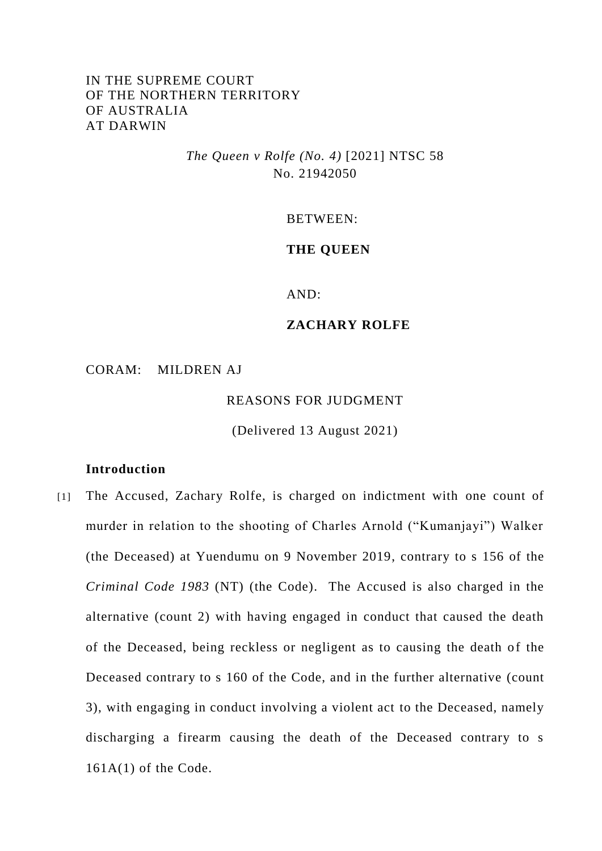# IN THE SUPREME COURT OF THE NORTHERN TERRITORY OF AUSTRALIA AT DARWIN

# *The Queen v Rolfe (No. 4)* [2021] NTSC 58 No. 21942050

#### BETWEEN:

### **THE QUEEN**

AND:

### **ZACHARY ROLFE**

CORAM: MILDREN AJ

REASONS FOR JUDGMENT

(Delivered 13 August 2021)

### **Introduction**

[1] The Accused, Zachary Rolfe, is charged on indictment with one count of murder in relation to the shooting of Charles Arnold ("Kumanjayi") Walker (the Deceased) at Yuendumu on 9 November 2019, contrary to s 156 of the *Criminal Code 1983* (NT) (the Code). The Accused is also charged in the alternative (count 2) with having engaged in conduct that caused the death of the Deceased, being reckless or negligent as to causing the death of the Deceased contrary to s 160 of the Code, and in the further alternative (count 3), with engaging in conduct involving a violent act to the Deceased, namely discharging a firearm causing the death of the Deceased contrary to s  $161A(1)$  of the Code.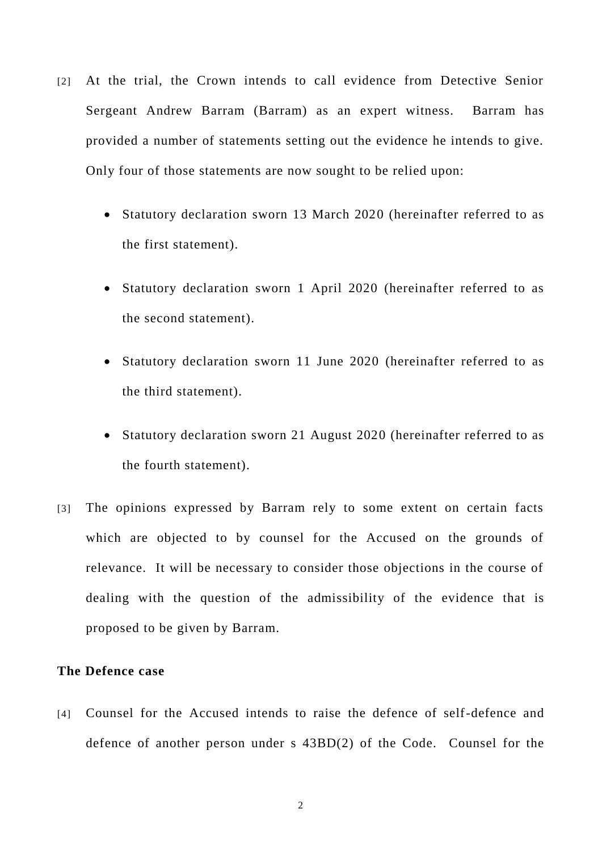- [2] At the trial, the Crown intends to call evidence from Detective Senior Sergeant Andrew Barram (Barram) as an expert witness. Barram has provided a number of statements setting out the evidence he intends to give. Only four of those statements are now sought to be relied upon:
	- Statutory declaration sworn 13 March 2020 (hereinafter referred to as the first statement).
	- Statutory declaration sworn 1 April 2020 (hereinafter referred to as the second statement).
	- Statutory declaration sworn 11 June 2020 (hereinafter referred to as the third statement).
	- Statutory declaration sworn 21 August 2020 (hereinafter referred to as the fourth statement).
- [3] The opinions expressed by Barram rely to some extent on certain facts which are objected to by counsel for the Accused on the grounds of relevance. It will be necessary to consider those objections in the course of dealing with the question of the admissibility of the evidence that is proposed to be given by Barram.

### **The Defence case**

[4] Counsel for the Accused intends to raise the defence of self-defence and defence of another person under s 43BD(2) of the Code. Counsel for the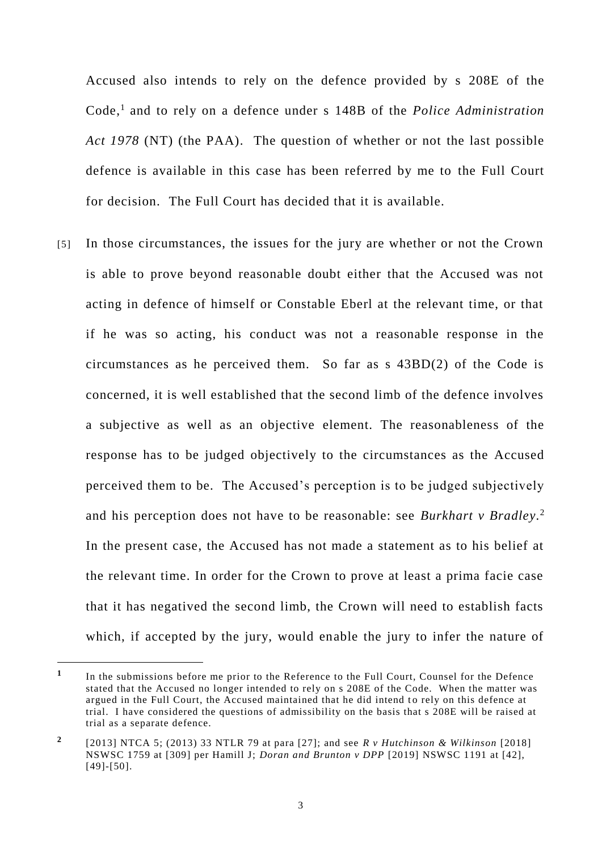Accused also intends to rely on the defence provided by s 208E of the Code, 1 and to rely on a defence under s 148B of the *Police Administration Act 1978* (NT) (the PAA). The question of whether or not the last possible defence is available in this case has been referred by me to the Full Court for decision. The Full Court has decided that it is available.

[5] In those circumstances, the issues for the jury are whether or not the Crown is able to prove beyond reasonable doubt either that the Accused was not acting in defence of himself or Constable Eberl at the relevant time, or that if he was so acting, his conduct was not a reasonable response in the circumstances as he perceived them. So far as s 43BD(2) of the Code is concerned, it is well established that the second limb of the defence involves a subjective as well as an objective element. The reasonableness of the response has to be judged objectively to the circumstances as the Accused perceived them to be. The Accused's perception is to be judged subjectively and his perception does not have to be reasonable: see *Burkhart v Bradley.* 2 In the present case, the Accused has not made a statement as to his belief at the relevant time. In order for the Crown to prove at least a prima facie case that it has negatived the second limb, the Crown will need to establish facts which, if accepted by the jury, would enable the jury to infer the nature of

**<sup>1</sup>** In the submissions before me prior to the Reference to the Full Court, Counsel for the Defence stated that the Accused no longer intended to rely on s 208E of the Code. When the matter was argued in the Full Court, the Accused maintained that he did intend to rely on this defence at trial. I have considered the questions of admissibility on the basis that s 208E will be raised at trial as a separate defence.

**<sup>2</sup>** [2013] NTCA 5; (2013) 33 NTLR 79 at para [27]; and see *R v Hutchinson & Wilkinson* [2018] NSWSC 1759 at [309] per Hamill J; *Doran and Brunton v DPP* [2019] NSWSC 1191 at [42], [49]-[50].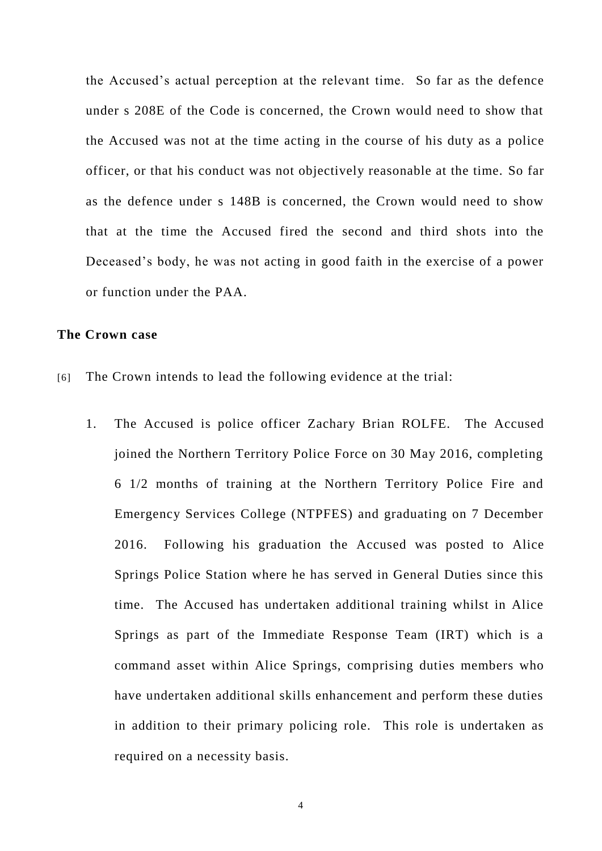the Accused's actual perception at the relevant time. So far as the defence under s 208E of the Code is concerned, the Crown would need to show that the Accused was not at the time acting in the course of his duty as a police officer, or that his conduct was not objectively reasonable at the time. So far as the defence under s 148B is concerned, the Crown would need to show that at the time the Accused fired the second and third shots into the Deceased's body, he was not acting in good faith in the exercise of a power or function under the PAA.

### **The Crown case**

- [6] The Crown intends to lead the following evidence at the trial:
	- 1. The Accused is police officer Zachary Brian ROLFE. The Accused joined the Northern Territory Police Force on 30 May 2016, completing 6 1/2 months of training at the Northern Territory Police Fire and Emergency Services College (NTPFES) and graduating on 7 December 2016. Following his graduation the Accused was posted to Alice Springs Police Station where he has served in General Duties since this time. The Accused has undertaken additional training whilst in Alice Springs as part of the Immediate Response Team (IRT) which is a command asset within Alice Springs, comprising duties members who have undertaken additional skills enhancement and perform these duties in addition to their primary policing role. This role is undertaken as required on a necessity basis.

4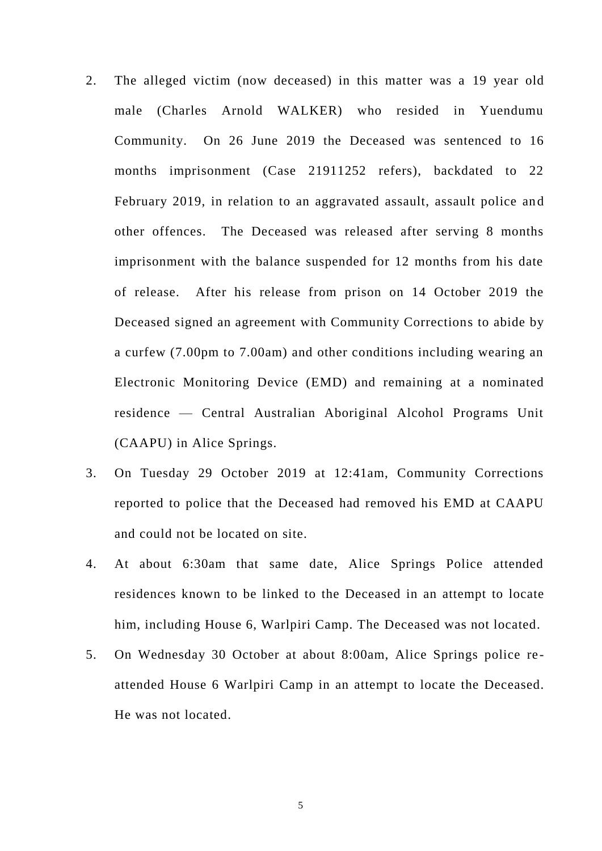- 2. The alleged victim (now deceased) in this matter was a 19 year old male (Charles Arnold WALKER) who resided in Yuendumu Community. On 26 June 2019 the Deceased was sentenced to 16 months imprisonment (Case 21911252 refers), backdated to 22 February 2019, in relation to an aggravated assault, assault police and other offences. The Deceased was released after serving 8 months imprisonment with the balance suspended for 12 months from his date of release. After his release from prison on 14 October 2019 the Deceased signed an agreement with Community Corrections to abide by a curfew (7.00pm to 7.00am) and other conditions including wearing an Electronic Monitoring Device (EMD) and remaining at a nominated residence — Central Australian Aboriginal Alcohol Programs Unit (CAAPU) in Alice Springs.
- 3. On Tuesday 29 October 2019 at 12:41am, Community Corrections reported to police that the Deceased had removed his EMD at CAAPU and could not be located on site.
- 4. At about 6:30am that same date, Alice Springs Police attended residences known to be linked to the Deceased in an attempt to locate him, including House 6, Warlpiri Camp. The Deceased was not located.
- 5. On Wednesday 30 October at about 8:00am, Alice Springs police re attended House 6 Warlpiri Camp in an attempt to locate the Deceased. He was not located.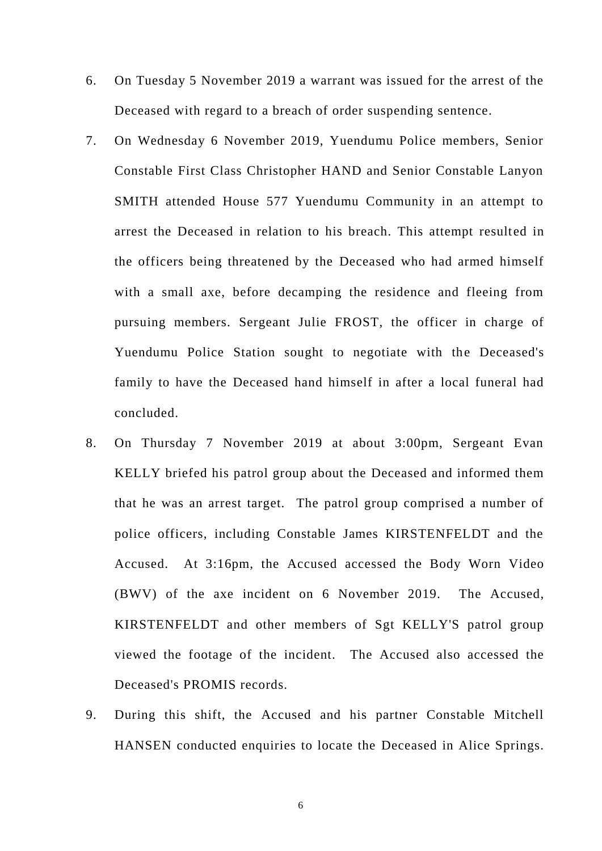- 6. On Tuesday 5 November 2019 a warrant was issued for the arrest of the Deceased with regard to a breach of order suspending sentence.
- 7. On Wednesday 6 November 2019, Yuendumu Police members, Senior Constable First Class Christopher HAND and Senior Constable Lanyon SMITH attended House 577 Yuendumu Community in an attempt to arrest the Deceased in relation to his breach. This attempt resulted in the officers being threatened by the Deceased who had armed himself with a small axe, before decamping the residence and fleeing from pursuing members. Sergeant Julie FROST, the officer in charge of Yuendumu Police Station sought to negotiate with the Deceased's family to have the Deceased hand himself in after a local funeral had concluded.
- 8. On Thursday 7 November 2019 at about 3:00pm, Sergeant Evan KELLY briefed his patrol group about the Deceased and informed them that he was an arrest target. The patrol group comprised a number of police officers, including Constable James KIRSTENFELDT and the Accused. At 3:16pm, the Accused accessed the Body Worn Video (BWV) of the axe incident on 6 November 2019. The Accused, KIRSTENFELDT and other members of Sgt KELLY'S patrol group viewed the footage of the incident. The Accused also accessed the Deceased's PROMIS records.
- 9. During this shift, the Accused and his partner Constable Mitchell HANSEN conducted enquiries to locate the Deceased in Alice Springs.

6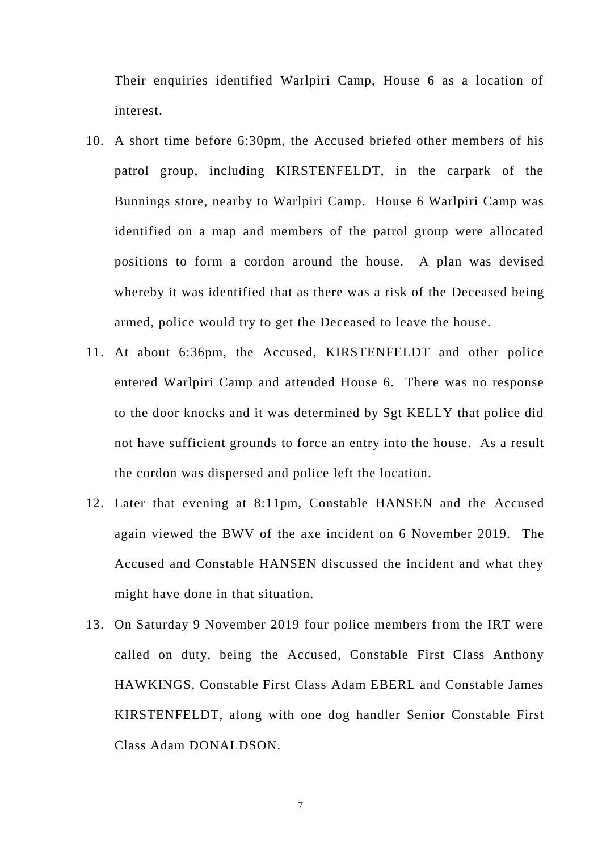Their enquiries identified Warlpiri Camp, House 6 as a location of interest.

- 10. A short time before 6:30pm, the Accused briefed other members of his patrol group, including KIRSTENFELDT, in the carpark of the Bunnings store, nearby to Warlpiri Camp. House 6 Warlpiri Camp was identified on a map and members of the patrol group were allocated positions to form a cordon around the house. A plan was devised whereby it was identified that as there was a risk of the Deceased being armed, police would try to get the Deceased to leave the house.
- 11. At about 6:36pm, the Accused, KIRSTENFELDT and other police entered Warlpiri Camp and attended House 6. There was no response to the door knocks and it was determined by Sgt KELLY that police did not have sufficient grounds to force an entry into the house. As a result the cordon was dispersed and police left the location.
- 12. Later that evening at 8:11pm, Constable HANSEN and the Accused again viewed the BWV of the axe incident on 6 November 2019. The Accused and Constable HANSEN discussed the incident and what they might have done in that situation.
- 13. On Saturday 9 November 2019 four police members from the IRT were called on duty, being the Accused, Constable First Class Anthony HAWKINGS, Constable First Class Adam EBERL and Constable James KIRSTENFELDT, along with one dog handler Senior Constable First Class Adam DONALDSON.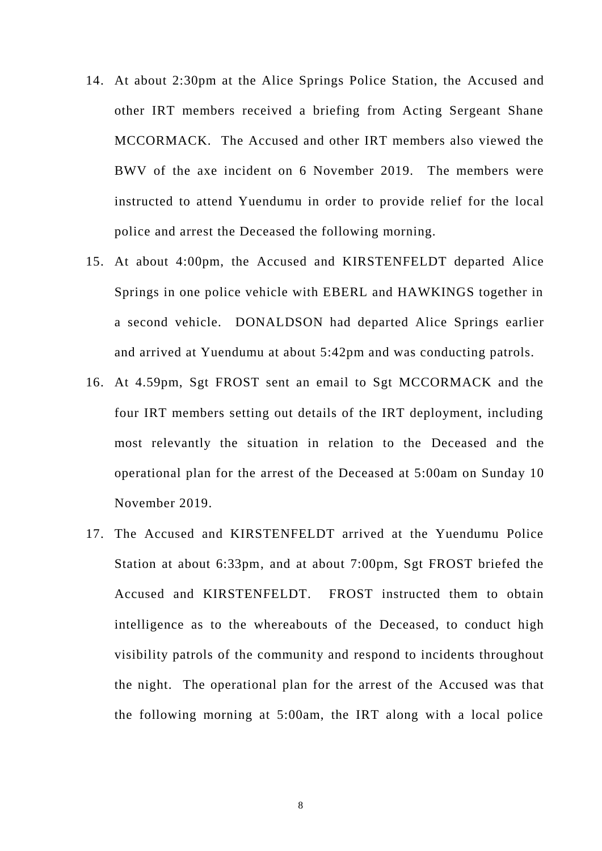- 14. At about 2:30pm at the Alice Springs Police Station, the Accused and other IRT members received a briefing from Acting Sergeant Shane MCCORMACK. The Accused and other IRT members also viewed the BWV of the axe incident on 6 November 2019. The members were instructed to attend Yuendumu in order to provide relief for the local police and arrest the Deceased the following morning.
- 15. At about 4:00pm, the Accused and KIRSTENFELDT departed Alice Springs in one police vehicle with EBERL and HAWKINGS together in a second vehicle. DONALDSON had departed Alice Springs earlier and arrived at Yuendumu at about 5:42pm and was conducting patrols.
- 16. At 4.59pm, Sgt FROST sent an email to Sgt MCCORMACK and the four IRT members setting out details of the IRT deployment, including most relevantly the situation in relation to the Deceased and the operational plan for the arrest of the Deceased at 5:00am on Sunday 10 November 2019.
- 17. The Accused and KIRSTENFELDT arrived at the Yuendumu Police Station at about 6:33pm, and at about 7:00pm, Sgt FROST briefed the Accused and KIRSTENFELDT. FROST instructed them to obtain intelligence as to the whereabouts of the Deceased, to conduct high visibility patrols of the community and respond to incidents throughout the night. The operational plan for the arrest of the Accused was that the following morning at 5:00am, the IRT along with a local police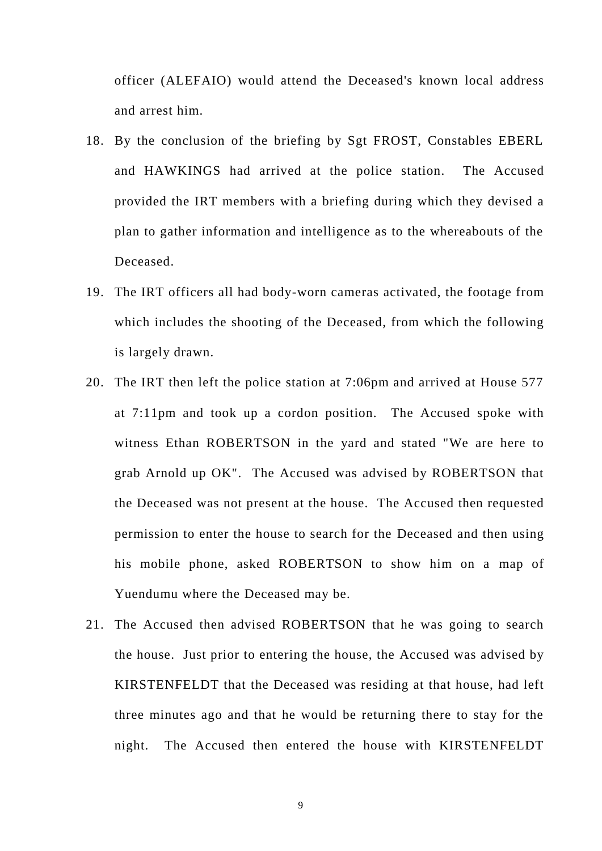officer (ALEFAIO) would attend the Deceased's known local address and arrest him.

- 18. By the conclusion of the briefing by Sgt FROST, Constables EBERL and HAWKINGS had arrived at the police station. The Accused provided the IRT members with a briefing during which they devised a plan to gather information and intelligence as to the whereabouts of the Deceased.
- 19. The IRT officers all had body-worn cameras activated, the footage from which includes the shooting of the Deceased, from which the following is largely drawn.
- 20. The IRT then left the police station at 7:06pm and arrived at House 577 at 7:11pm and took up a cordon position. The Accused spoke with witness Ethan ROBERTSON in the yard and stated "We are here to grab Arnold up OK". The Accused was advised by ROBERTSON that the Deceased was not present at the house. The Accused then requested permission to enter the house to search for the Deceased and then using his mobile phone, asked ROBERTSON to show him on a map of Yuendumu where the Deceased may be.
- 21. The Accused then advised ROBERTSON that he was going to search the house. Just prior to entering the house, the Accused was advised by KIRSTENFELDT that the Deceased was residing at that house, had left three minutes ago and that he would be returning there to stay for the night. The Accused then entered the house with KIRSTENFELDT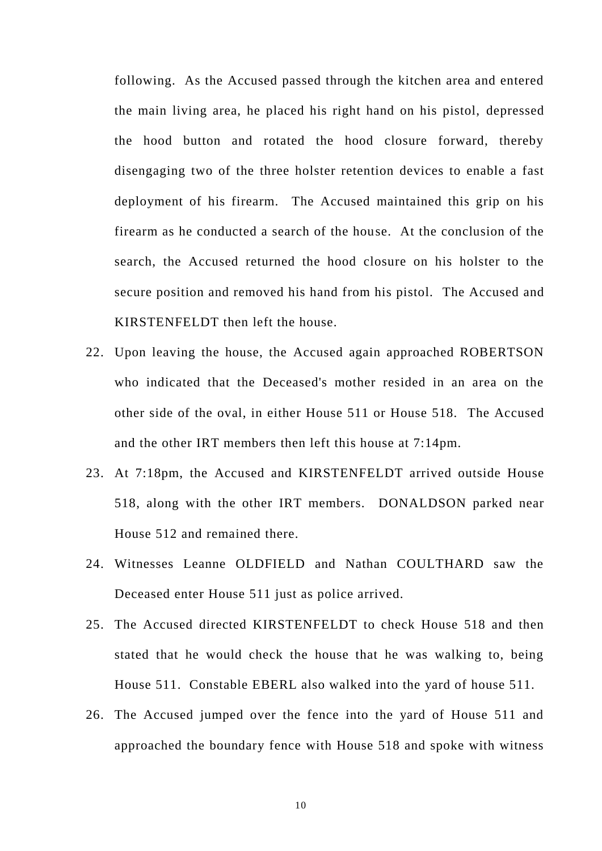following. As the Accused passed through the kitchen area and entered the main living area, he placed his right hand on his pistol, depressed the hood button and rotated the hood closure forward, thereby disengaging two of the three holster retention devices to enable a fast deployment of his firearm. The Accused maintained this grip on his firearm as he conducted a search of the house. At the conclusion of the search, the Accused returned the hood closure on his holster to the secure position and removed his hand from his pistol. The Accused and KIRSTENFELDT then left the house.

- 22. Upon leaving the house, the Accused again approached ROBERTSON who indicated that the Deceased's mother resided in an area on the other side of the oval, in either House 511 or House 518. The Accused and the other IRT members then left this house at 7:14pm.
- 23. At 7:18pm, the Accused and KIRSTENFELDT arrived outside House 518, along with the other IRT members. DONALDSON parked near House 512 and remained there.
- 24. Witnesses Leanne OLDFIELD and Nathan COULTHARD saw the Deceased enter House 511 just as police arrived.
- 25. The Accused directed KIRSTENFELDT to check House 518 and then stated that he would check the house that he was walking to, being House 511. Constable EBERL also walked into the yard of house 511.
- 26. The Accused jumped over the fence into the yard of House 511 and approached the boundary fence with House 518 and spoke with witness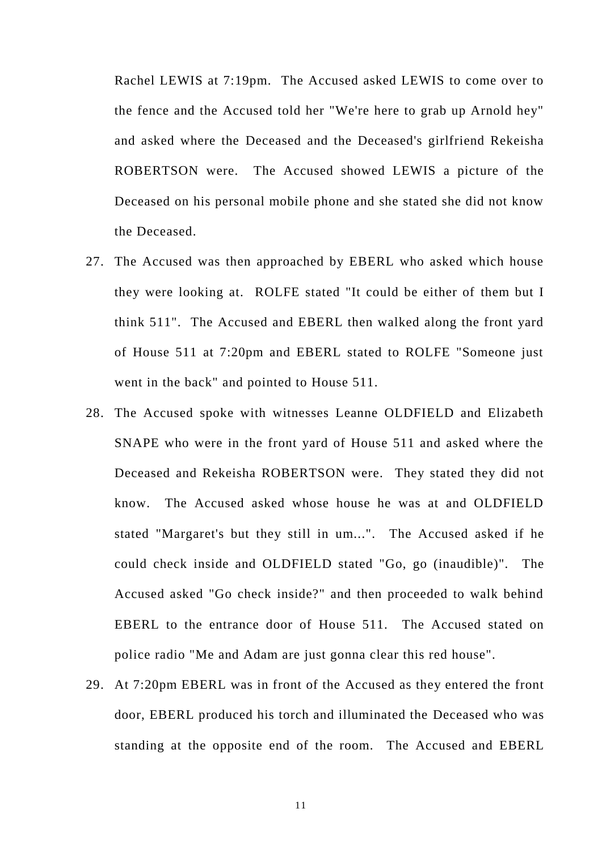Rachel LEWIS at 7:19pm. The Accused asked LEWIS to come over to the fence and the Accused told her "We're here to grab up Arnold hey" and asked where the Deceased and the Deceased's girlfriend Rekeisha ROBERTSON were. The Accused showed LEWIS a picture of the Deceased on his personal mobile phone and she stated she did not know the Deceased.

- 27. The Accused was then approached by EBERL who asked which house they were looking at. ROLFE stated "It could be either of them but I think 511". The Accused and EBERL then walked along the front yard of House 511 at 7:20pm and EBERL stated to ROLFE "Someone just went in the back" and pointed to House 511.
- 28. The Accused spoke with witnesses Leanne OLDFIELD and Elizabeth SNAPE who were in the front yard of House 511 and asked where the Deceased and Rekeisha ROBERTSON were. They stated they did not know. The Accused asked whose house he was at and OLDFIELD stated "Margaret's but they still in um...". The Accused asked if he could check inside and OLDFIELD stated "Go, go (inaudible)". The Accused asked "Go check inside?" and then proceeded to walk behind EBERL to the entrance door of House 511. The Accused stated on police radio "Me and Adam are just gonna clear this red house".
- 29. At 7:20pm EBERL was in front of the Accused as they entered the front door, EBERL produced his torch and illuminated the Deceased who was standing at the opposite end of the room. The Accused and EBERL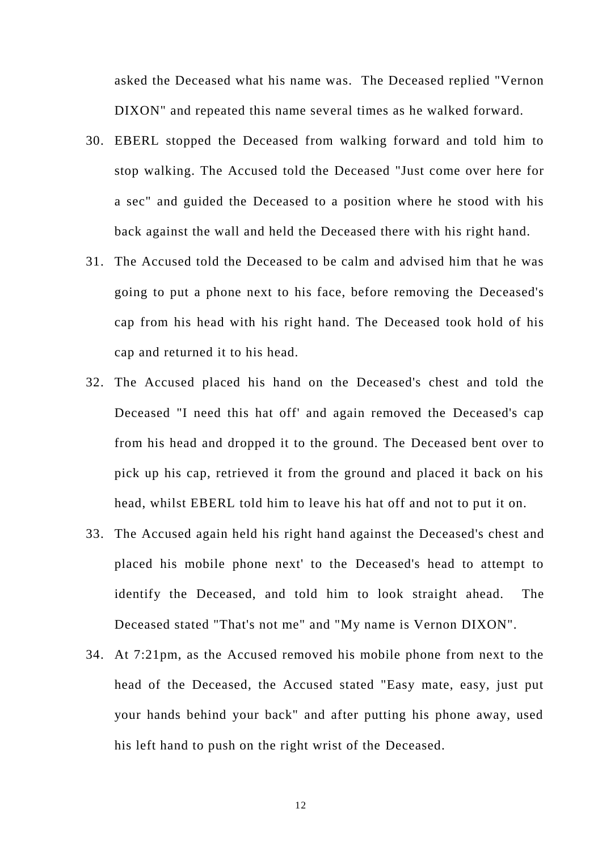asked the Deceased what his name was. The Deceased replied "Vernon DIXON" and repeated this name several times as he walked forward.

- 30. EBERL stopped the Deceased from walking forward and told him to stop walking. The Accused told the Deceased "Just come over here for a sec" and guided the Deceased to a position where he stood with his back against the wall and held the Deceased there with his right hand.
- 31. The Accused told the Deceased to be calm and advised him that he was going to put a phone next to his face, before removing the Deceased's cap from his head with his right hand. The Deceased took hold of his cap and returned it to his head.
- 32. The Accused placed his hand on the Deceased's chest and told the Deceased "I need this hat off' and again removed the Deceased's cap from his head and dropped it to the ground. The Deceased bent over to pick up his cap, retrieved it from the ground and placed it back on his head, whilst EBERL told him to leave his hat off and not to put it on.
- 33. The Accused again held his right hand against the Deceased's chest and placed his mobile phone next' to the Deceased's head to attempt to identify the Deceased, and told him to look straight ahead. The Deceased stated "That's not me" and "My name is Vernon DIXON".
- 34. At 7:21pm, as the Accused removed his mobile phone from next to the head of the Deceased, the Accused stated "Easy mate, easy, just put your hands behind your back" and after putting his phone away, used his left hand to push on the right wrist of the Deceased.

12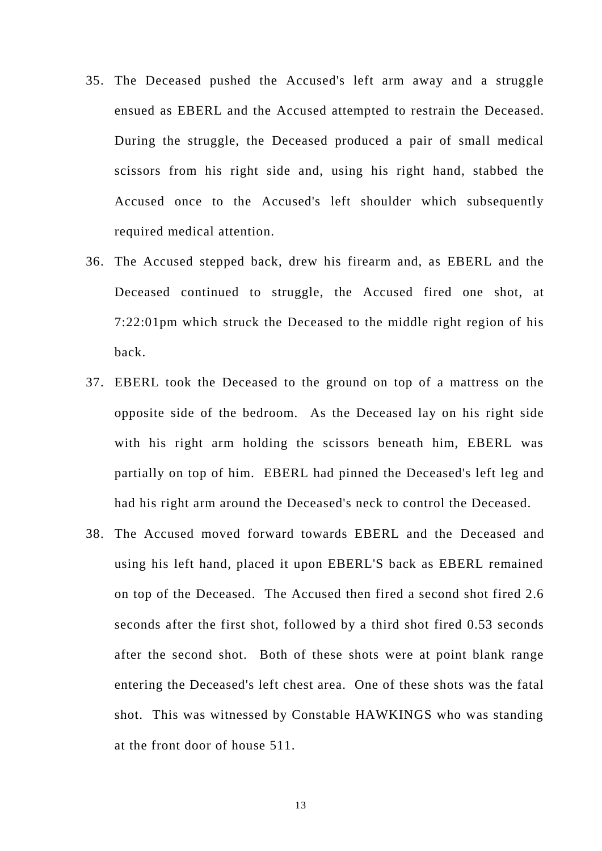- 35. The Deceased pushed the Accused's left arm away and a struggle ensued as EBERL and the Accused attempted to restrain the Deceased. During the struggle, the Deceased produced a pair of small medical scissors from his right side and, using his right hand, stabbed the Accused once to the Accused's left shoulder which subsequently required medical attention.
- 36. The Accused stepped back, drew his firearm and, as EBERL and the Deceased continued to struggle, the Accused fired one shot, at 7:22:01pm which struck the Deceased to the middle right region of his back.
- 37. EBERL took the Deceased to the ground on top of a mattress on the opposite side of the bedroom. As the Deceased lay on his right side with his right arm holding the scissors beneath him, EBERL was partially on top of him. EBERL had pinned the Deceased's left leg and had his right arm around the Deceased's neck to control the Deceased.
- 38. The Accused moved forward towards EBERL and the Deceased and using his left hand, placed it upon EBERL'S back as EBERL remained on top of the Deceased. The Accused then fired a second shot fired 2.6 seconds after the first shot, followed by a third shot fired 0.53 seconds after the second shot. Both of these shots were at point blank range entering the Deceased's left chest area. One of these shots was the fatal shot. This was witnessed by Constable HAWKINGS who was standing at the front door of house 511.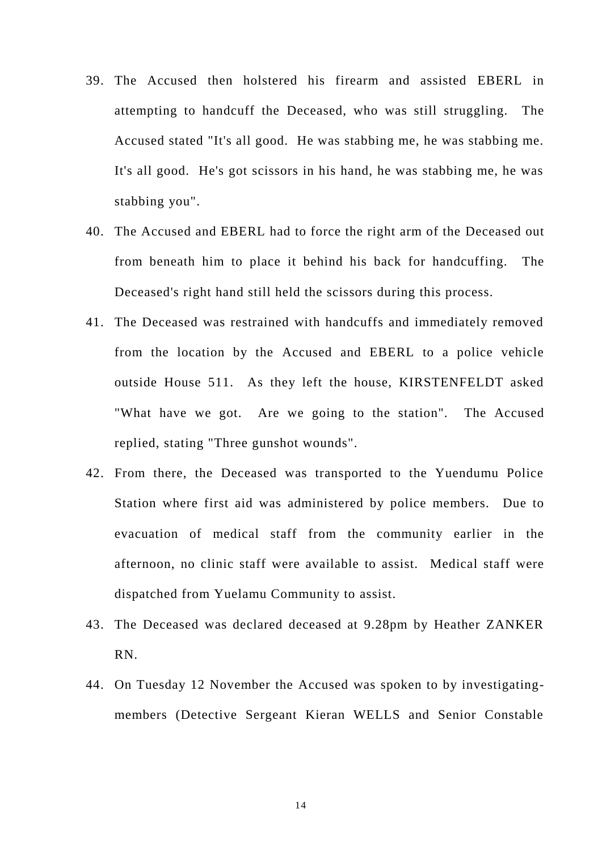- 39. The Accused then holstered his firearm and assisted EBERL in attempting to handcuff the Deceased, who was still struggling. The Accused stated "It's all good. He was stabbing me, he was stabbing me. It's all good. He's got scissors in his hand, he was stabbing me, he was stabbing you".
- 40. The Accused and EBERL had to force the right arm of the Deceased out from beneath him to place it behind his back for handcuffing. The Deceased's right hand still held the scissors during this process.
- 41. The Deceased was restrained with handcuffs and immediately removed from the location by the Accused and EBERL to a police vehicle outside House 511. As they left the house, KIRSTENFELDT asked "What have we got. Are we going to the station". The Accused replied, stating "Three gunshot wounds".
- 42. From there, the Deceased was transported to the Yuendumu Police Station where first aid was administered by police members. Due to evacuation of medical staff from the community earlier in the afternoon, no clinic staff were available to assist. Medical staff were dispatched from Yuelamu Community to assist.
- 43. The Deceased was declared deceased at 9.28pm by Heather ZANKER RN.
- 44. On Tuesday 12 November the Accused was spoken to by investigatingmembers (Detective Sergeant Kieran WELLS and Senior Constable

14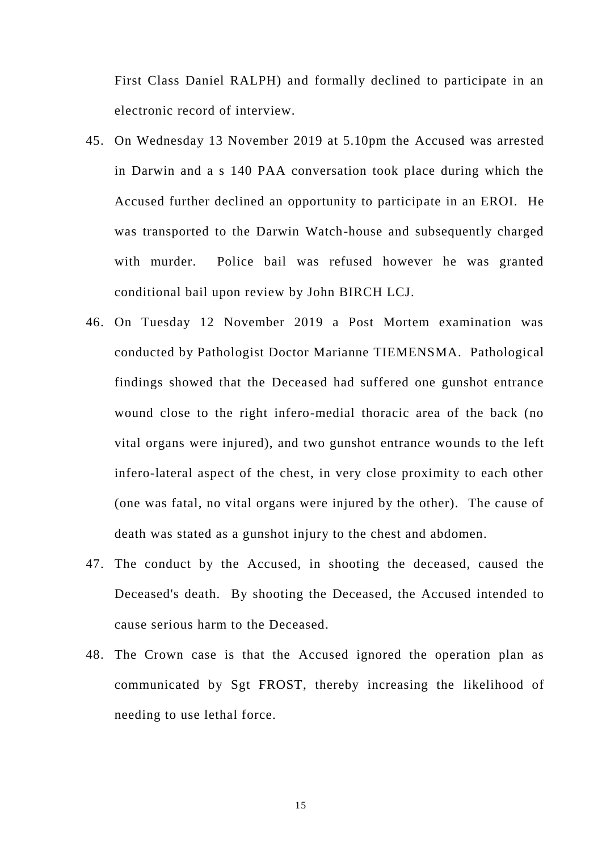First Class Daniel RALPH) and formally declined to participate in an electronic record of interview.

- 45. On Wednesday 13 November 2019 at 5.10pm the Accused was arrested in Darwin and a s 140 PAA conversation took place during which the Accused further declined an opportunity to participate in an EROI. He was transported to the Darwin Watch-house and subsequently charged with murder. Police bail was refused however he was granted conditional bail upon review by John BIRCH LCJ.
- 46. On Tuesday 12 November 2019 a Post Mortem examination was conducted by Pathologist Doctor Marianne TIEMENSMA. Pathological findings showed that the Deceased had suffered one gunshot entrance wound close to the right infero-medial thoracic area of the back (no vital organs were injured), and two gunshot entrance wounds to the left infero-lateral aspect of the chest, in very close proximity to each other (one was fatal, no vital organs were injured by the other). The cause of death was stated as a gunshot injury to the chest and abdomen.
- 47. The conduct by the Accused, in shooting the deceased, caused the Deceased's death. By shooting the Deceased, the Accused intended to cause serious harm to the Deceased.
- 48. The Crown case is that the Accused ignored the operation plan as communicated by Sgt FROST, thereby increasing the likelihood of needing to use lethal force.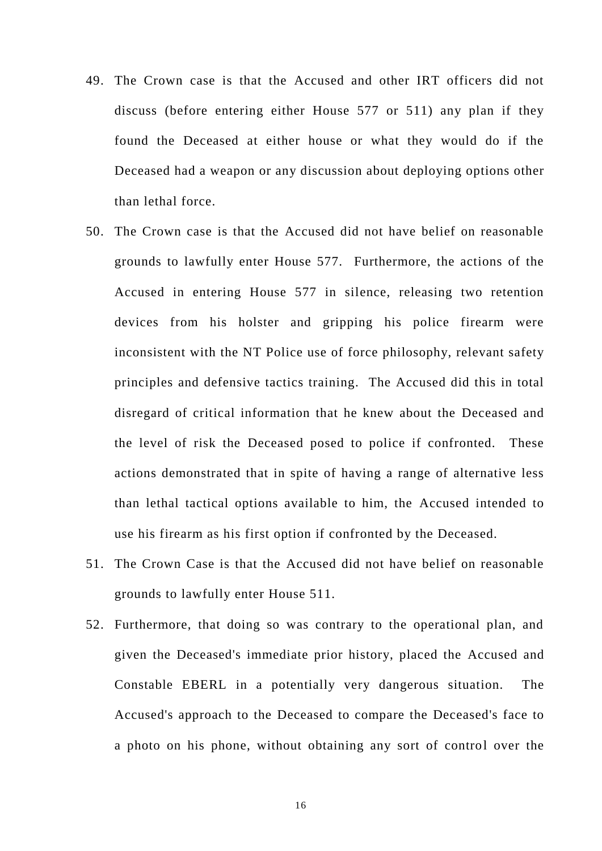- 49. The Crown case is that the Accused and other IRT officers did not discuss (before entering either House 577 or 511) any plan if they found the Deceased at either house or what they would do if the Deceased had a weapon or any discussion about deploying options other than lethal force.
- 50. The Crown case is that the Accused did not have belief on reasonable grounds to lawfully enter House 577. Furthermore, the actions of the Accused in entering House 577 in silence, releasing two retention devices from his holster and gripping his police firearm were inconsistent with the NT Police use of force philosophy, relevant safety principles and defensive tactics training. The Accused did this in total disregard of critical information that he knew about the Deceased and the level of risk the Deceased posed to police if confronted. These actions demonstrated that in spite of having a range of alternative less than lethal tactical options available to him, the Accused intended to use his firearm as his first option if confronted by the Deceased.
- 51. The Crown Case is that the Accused did not have belief on reasonable grounds to lawfully enter House 511.
- 52. Furthermore, that doing so was contrary to the operational plan, and given the Deceased's immediate prior history, placed the Accused and Constable EBERL in a potentially very dangerous situation. The Accused's approach to the Deceased to compare the Deceased's face to a photo on his phone, without obtaining any sort of control over the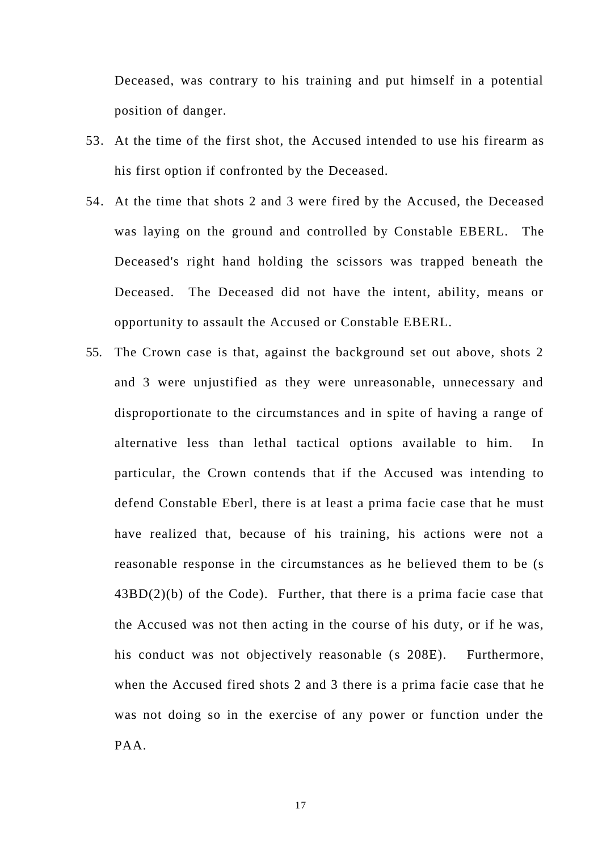Deceased, was contrary to his training and put himself in a potential position of danger.

- 53. At the time of the first shot, the Accused intended to use his firearm as his first option if confronted by the Deceased.
- 54. At the time that shots 2 and 3 were fired by the Accused, the Deceased was laying on the ground and controlled by Constable EBERL. The Deceased's right hand holding the scissors was trapped beneath the Deceased. The Deceased did not have the intent, ability, means or opportunity to assault the Accused or Constable EBERL.
- 55. The Crown case is that, against the background set out above, shots 2 and 3 were unjustified as they were unreasonable, unnecessary and disproportionate to the circumstances and in spite of having a range of alternative less than lethal tactical options available to him. In particular, the Crown contends that if the Accused was intending to defend Constable Eberl, there is at least a prima facie case that he must have realized that, because of his training, his actions were not a reasonable response in the circumstances as he believed them to be (s  $43BD(2)(b)$  of the Code). Further, that there is a prima facie case that the Accused was not then acting in the course of his duty, or if he was, his conduct was not objectively reasonable (s 208E). Furthermore, when the Accused fired shots 2 and 3 there is a prima facie case that he was not doing so in the exercise of any power or function under the PAA.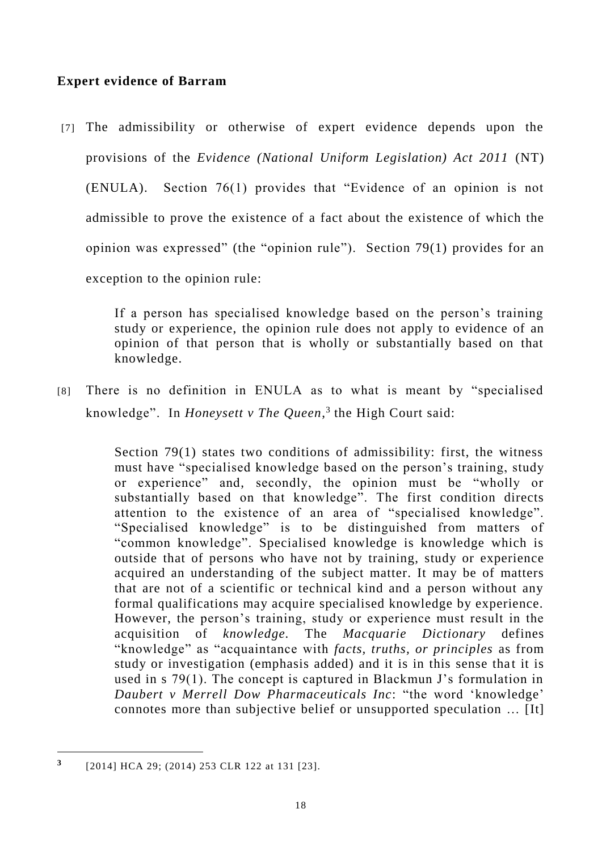# **Expert evidence of Barram**

[7] The admissibility or otherwise of expert evidence depends upon the provisions of the *Evidence (National Uniform Legislation) Act 2011* (NT) (ENULA). Section 76(1) provides that "Evidence of an opinion is not admissible to prove the existence of a fact about the existence of which the opinion was expressed" (the "opinion rule"). Section 79(1) provides for an exception to the opinion rule:

> If a person has specialised knowledge based on the person's training study or experience, the opinion rule does not apply to evidence of an opinion of that person that is wholly or substantially based on that knowledge.

[8] There is no definition in ENULA as to what is meant by "specialised knowledge". In *Honeysett v The Queen*, 3 the High Court said:

> Section 79(1) states two conditions of admissibility: first, the witness must have "specialised knowledge based on the person's training, study or experience" and, secondly, the opinion must be "wholly or substantially based on that knowledge". The first condition directs attention to the existence of an area of "specialised knowledge". "Specialised knowledge" is to be distinguished from matters of "common knowledge". Specialised knowledge is knowledge which is outside that of persons who have not by training, study or experience acquired an understanding of the subject matter. It may be of matters that are not of a scientific or technical kind and a person without any formal qualifications may acquire specialised knowledge by experience. However, the person's training, study or experience must result in the acquisition of *knowledge.* The *Macquarie Dictionary* defines "knowledge" as "acquaintance with *facts, truths, or principles* as from study or investigation (emphasis added) and it is in this sense that it is used in s 79(1). The concept is captured in Blackmun J's formulation in *Daubert v Merrell Dow Pharmaceuticals Inc*: "the word 'knowledge' connotes more than subjective belief or unsupported speculation … [It]

**<sup>3</sup>** [2014] HCA 29; (2014) 253 CLR 122 at 131 [23].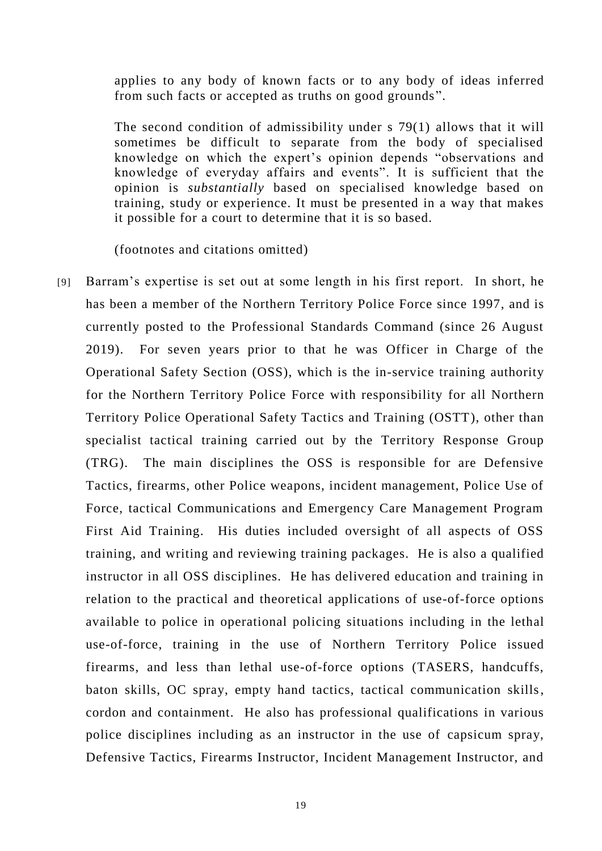applies to any body of known facts or to any body of ideas inferred from such facts or accepted as truths on good grounds".

The second condition of admissibility under s 79(1) allows that it will sometimes be difficult to separate from the body of specialised knowledge on which the expert's opinion depends "observations and knowledge of everyday affairs and events". It is sufficient that the opinion is *substantially* based on specialised knowledge based on training, study or experience. It must be presented in a way that makes it possible for a court to determine that it is so based.

(footnotes and citations omitted)

[9] Barram's expertise is set out at some length in his first report. In short, he has been a member of the Northern Territory Police Force since 1997, and is currently posted to the Professional Standards Command (since 26 August 2019). For seven years prior to that he was Officer in Charge of the Operational Safety Section (OSS), which is the in-service training authority for the Northern Territory Police Force with responsibility for all Northern Territory Police Operational Safety Tactics and Training (OSTT), other than specialist tactical training carried out by the Territory Response Group (TRG). The main disciplines the OSS is responsible for are Defensive Tactics, firearms, other Police weapons, incident management, Police Use of Force, tactical Communications and Emergency Care Management Program First Aid Training. His duties included oversight of all aspects of OSS training, and writing and reviewing training packages. He is also a qualified instructor in all OSS disciplines. He has delivered education and training in relation to the practical and theoretical applications of use-of-force options available to police in operational policing situations including in the lethal use-of-force, training in the use of Northern Territory Police issued firearms, and less than lethal use-of-force options (TASERS, handcuffs, baton skills, OC spray, empty hand tactics, tactical communication skills, cordon and containment. He also has professional qualifications in various police disciplines including as an instructor in the use of capsicum spray, Defensive Tactics, Firearms Instructor, Incident Management Instructor, and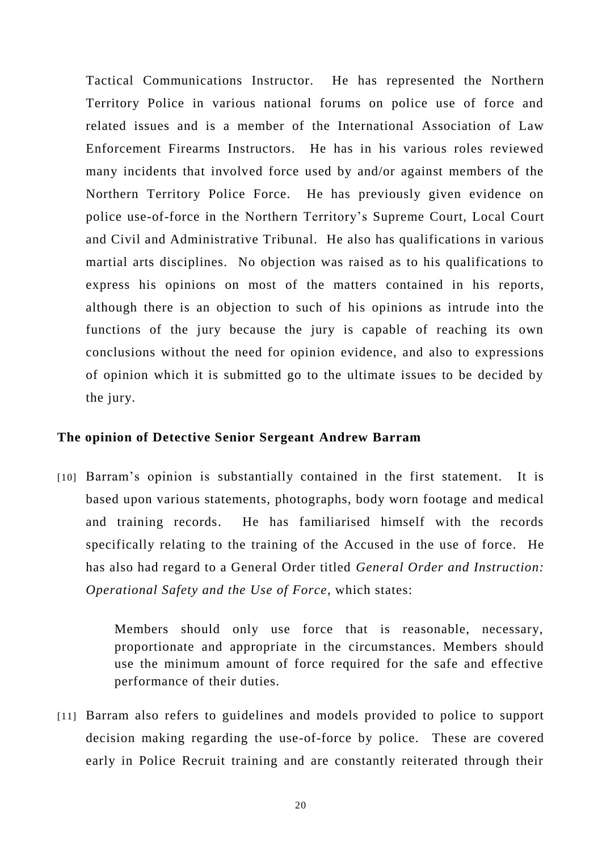Tactical Communications Instructor. He has represented the Northern Territory Police in various national forums on police use of force and related issues and is a member of the International Association of Law Enforcement Firearms Instructors. He has in his various roles reviewed many incidents that involved force used by and/or against members of the Northern Territory Police Force. He has previously given evidence on police use-of-force in the Northern Territory's Supreme Court, Local Court and Civil and Administrative Tribunal. He also has qualifications in various martial arts disciplines. No objection was raised as to his qualifications to express his opinions on most of the matters contained in his reports, although there is an objection to such of his opinions as intrude into the functions of the jury because the jury is capable of reaching its own conclusions without the need for opinion evidence, and also to expressions of opinion which it is submitted go to the ultimate issues to be decided by the jury.

### **The opinion of Detective Senior Sergeant Andrew Barram**

[10] Barram's opinion is substantially contained in the first statement. It is based upon various statements, photographs, body worn footage and medical and training records. He has familiarised himself with the records specifically relating to the training of the Accused in the use of force. He has also had regard to a General Order titled *General Order and Instruction: Operational Safety and the Use of Force*, which states:

> Members should only use force that is reasonable, necessary, proportionate and appropriate in the circumstances. Members should use the minimum amount of force required for the safe and effective performance of their duties.

[11] Barram also refers to guidelines and models provided to police to support decision making regarding the use-of-force by police. These are covered early in Police Recruit training and are constantly reiterated through their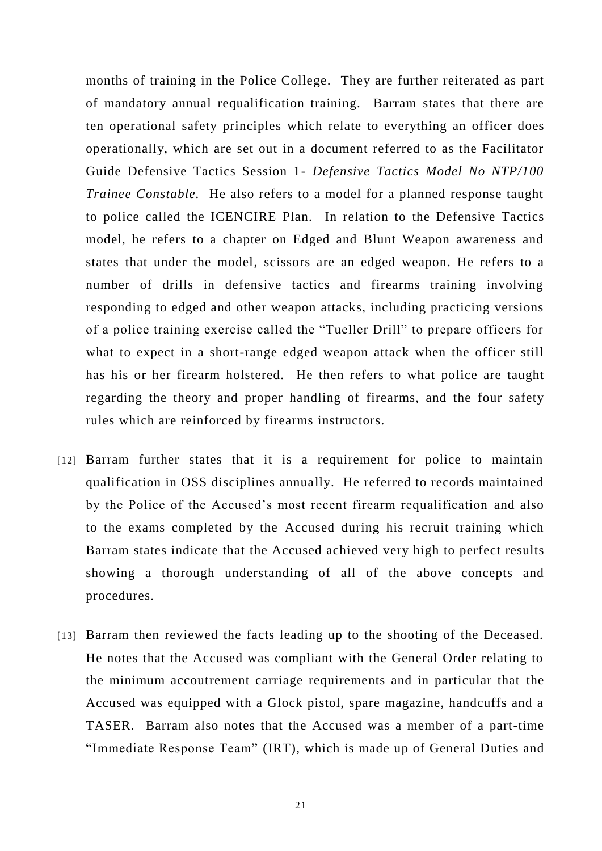months of training in the Police College. They are further reiterated as part of mandatory annual requalification training. Barram states that there are ten operational safety principles which relate to everything an officer does operationally, which are set out in a document referred to as the Facilitator Guide Defensive Tactics Session 1- *Defensive Tactics Model No NTP/100 Trainee Constable.* He also refers to a model for a planned response taught to police called the ICENCIRE Plan. In relation to the Defensive Tactics model, he refers to a chapter on Edged and Blunt Weapon awareness and states that under the model, scissors are an edged weapon. He refers to a number of drills in defensive tactics and firearms training involving responding to edged and other weapon attacks, including practicing versions of a police training exercise called the "Tueller Drill" to prepare officers for what to expect in a short-range edged weapon attack when the officer still has his or her firearm holstered. He then refers to what police are taught regarding the theory and proper handling of firearms, and the four safety rules which are reinforced by firearms instructors.

- [12] Barram further states that it is a requirement for police to maintain qualification in OSS disciplines annually. He referred to records maintained by the Police of the Accused's most recent firearm requalification and also to the exams completed by the Accused during his recruit training which Barram states indicate that the Accused achieved very high to perfect results showing a thorough understanding of all of the above concepts and procedures.
- [13] Barram then reviewed the facts leading up to the shooting of the Deceased. He notes that the Accused was compliant with the General Order relating to the minimum accoutrement carriage requirements and in particular that the Accused was equipped with a Glock pistol, spare magazine, handcuffs and a TASER. Barram also notes that the Accused was a member of a part-time "Immediate Response Team" (IRT), which is made up of General Duties and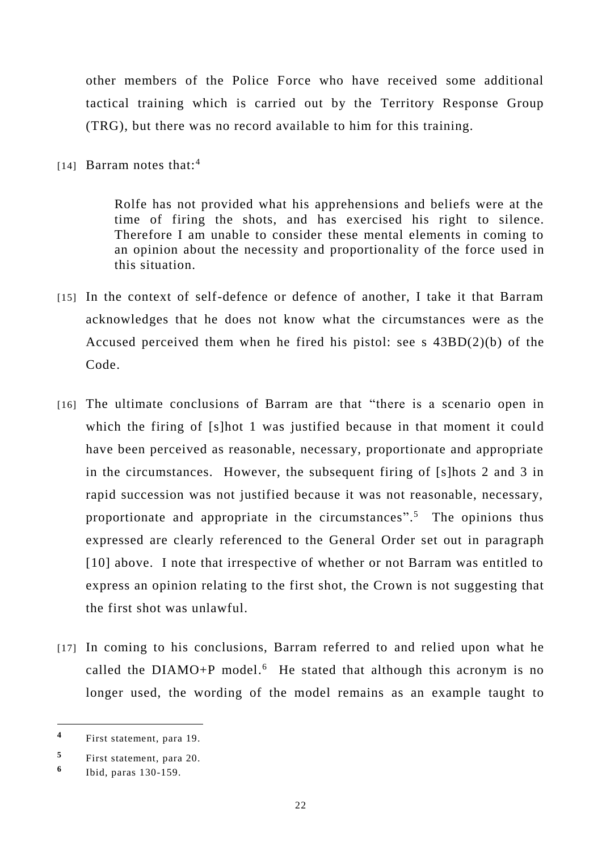other members of the Police Force who have received some additional tactical training which is carried out by the Territory Response Group (TRG), but there was no record available to him for this training.

[14] Barram notes that:<sup>4</sup>

Rolfe has not provided what his apprehensions and beliefs were at the time of firing the shots, and has exercised his right to silence. Therefore I am unable to consider these mental elements in coming to an opinion about the necessity and proportionality of the force used in this situation.

- [15] In the context of self-defence or defence of another, I take it that Barram acknowledges that he does not know what the circumstances were as the Accused perceived them when he fired his pistol: see s 43BD(2)(b) of the Code.
- [16] The ultimate conclusions of Barram are that "there is a scenario open in which the firing of [s]hot 1 was justified because in that moment it could have been perceived as reasonable, necessary, proportionate and appropriate in the circumstances. However, the subsequent firing of [s]hots 2 and 3 in rapid succession was not justified because it was not reasonable, necessary, proportionate and appropriate in the circumstances". <sup>5</sup> The opinions thus expressed are clearly referenced to the General Order set out in paragraph [10] above. I note that irrespective of whether or not Barram was entitled to express an opinion relating to the first shot, the Crown is not suggesting that the first shot was unlawful.
- [17] In coming to his conclusions, Barram referred to and relied upon what he called the  $DIAMO+P$  model.<sup>6</sup> He stated that although this acronym is no longer used, the wording of the model remains as an example taught to

-

**<sup>4</sup>** First statement, para 19.

**<sup>5</sup>** First statement, para 20.

**<sup>6</sup>** Ibid, paras 130-159.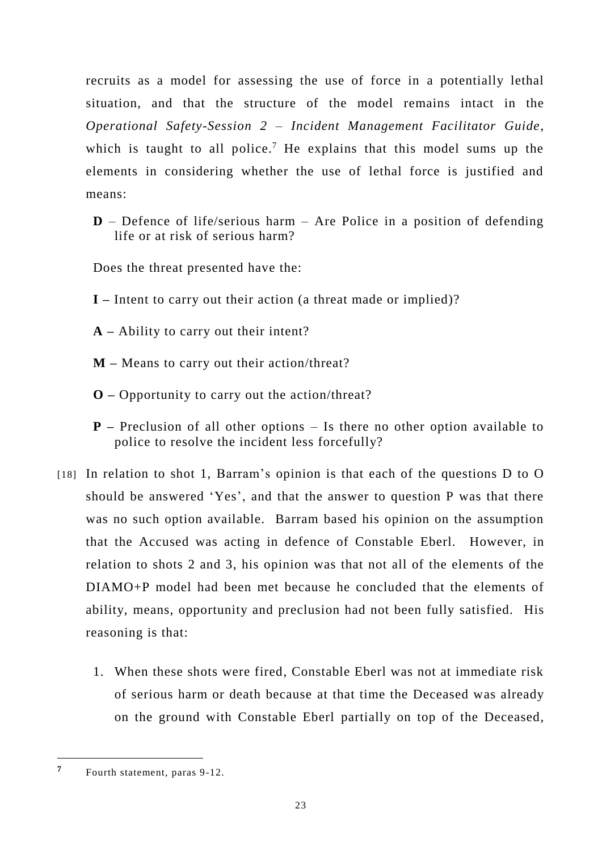recruits as a model for assessing the use of force in a potentially lethal situation, and that the structure of the model remains intact in the *Operational Safety-Session 2 – Incident Management Facilitator Guide*, which is taught to all police.<sup>7</sup> He explains that this model sums up the elements in considering whether the use of lethal force is justified and means:

**D** – Defence of life/serious harm – Are Police in a position of defending life or at risk of serious harm?

Does the threat presented have the:

- **I –** Intent to carry out their action (a threat made or implied)?
- **A –** Ability to carry out their intent?
- **M –** Means to carry out their action/threat?
- **O –** Opportunity to carry out the action/threat?
- **P –** Preclusion of all other options Is there no other option available to police to resolve the incident less forcefully?
- [18] In relation to shot 1, Barram's opinion is that each of the questions D to O should be answered 'Yes', and that the answer to question P was that there was no such option available. Barram based his opinion on the assumption that the Accused was acting in defence of Constable Eberl. However, in relation to shots 2 and 3, his opinion was that not all of the elements of the DIAMO+P model had been met because he concluded that the elements of ability, means, opportunity and preclusion had not been fully satisfied. His reasoning is that:
	- 1. When these shots were fired, Constable Eberl was not at immediate risk of serious harm or death because at that time the Deceased was already on the ground with Constable Eberl partially on top of the Deceased,

**<sup>7</sup>** Fourth statement, paras 9-12.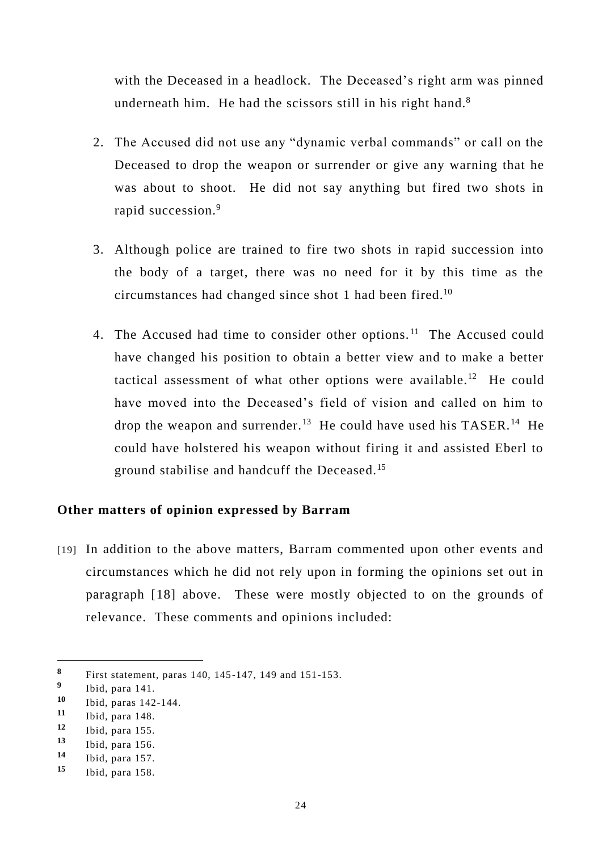with the Deceased in a headlock. The Deceased's right arm was pinned underneath him. He had the scissors still in his right hand. $8$ 

- 2. The Accused did not use any "dynamic verbal commands" or call on the Deceased to drop the weapon or surrender or give any warning that he was about to shoot. He did not say anything but fired two shots in rapid succession.<sup>9</sup>
- 3. Although police are trained to fire two shots in rapid succession into the body of a target, there was no need for it by this time as the circumstances had changed since shot 1 had been fired.<sup>10</sup>
- 4. The Accused had time to consider other options.<sup>11</sup> The Accused could have changed his position to obtain a better view and to make a better tactical assessment of what other options were available.<sup>12</sup> He could have moved into the Deceased's field of vision and called on him to drop the weapon and surrender.<sup>13</sup> He could have used his TASER.<sup>14</sup> He could have holstered his weapon without firing it and assisted Eberl to ground stabilise and handcuff the Deceased. 15

### **Other matters of opinion expressed by Barram**

[19] In addition to the above matters, Barram commented upon other events and circumstances which he did not rely upon in forming the opinions set out in paragraph [18] above. These were mostly objected to on the grounds of relevance. These comments and opinions included:

-

**<sup>8</sup>** First statement, paras 140, 145-147, 149 and 151-153.

**<sup>9</sup>** Ibid, para 141.

<sup>10</sup> Ibid, paras 142-144.<br>11 Ibid, para 148.

<sup>11</sup> Ibid, para 148.<br>12 Ibid, para 155

**<sup>12</sup>** Ibid, para 155.

**<sup>13</sup>** Ibid, para 156.

**<sup>14</sup>** Ibid, para 157.

**<sup>15</sup>** Ibid, para 158.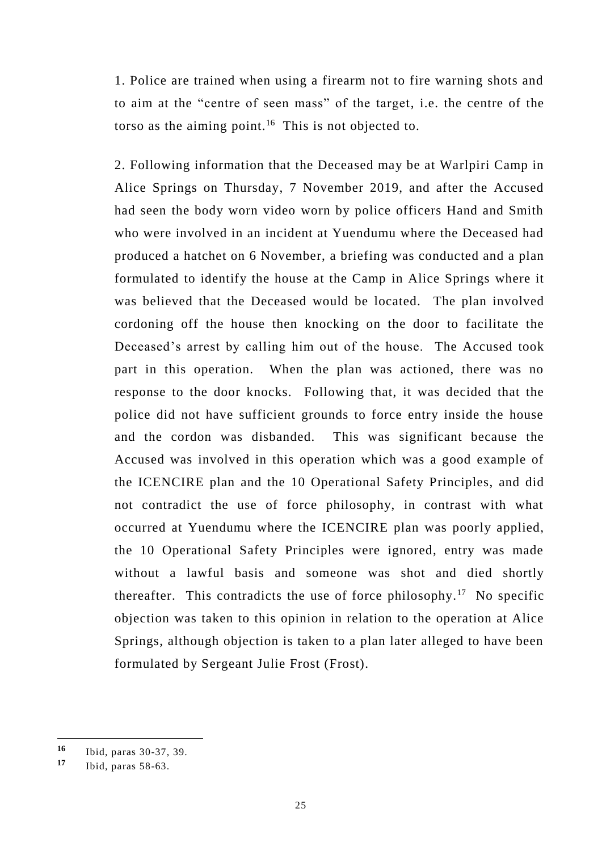1. Police are trained when using a firearm not to fire warning shots and to aim at the "centre of seen mass" of the target, i.e. the centre of the torso as the aiming point.<sup>16</sup> This is not objected to.

2. Following information that the Deceased may be at Warlpiri Camp in Alice Springs on Thursday, 7 November 2019, and after the Accused had seen the body worn video worn by police officers Hand and Smith who were involved in an incident at Yuendumu where the Deceased had produced a hatchet on 6 November, a briefing was conducted and a plan formulated to identify the house at the Camp in Alice Springs where it was believed that the Deceased would be located. The plan involved cordoning off the house then knocking on the door to facilitate the Deceased's arrest by calling him out of the house. The Accused took part in this operation. When the plan was actioned, there was no response to the door knocks. Following that, it was decided that the police did not have sufficient grounds to force entry inside the house and the cordon was disbanded. This was significant because the Accused was involved in this operation which was a good example of the ICENCIRE plan and the 10 Operational Safety Principles, and did not contradict the use of force philosophy, in contrast with what occurred at Yuendumu where the ICENCIRE plan was poorly applied, the 10 Operational Safety Principles were ignored, entry was made without a lawful basis and someone was shot and died shortly thereafter. This contradicts the use of force philosophy.<sup>17</sup> No specific objection was taken to this opinion in relation to the operation at Alice Springs, although objection is taken to a plan later alleged to have been formulated by Sergeant Julie Frost (Frost).

**<sup>16</sup>** Ibid, paras 30-37, 39.

**<sup>17</sup>** Ibid, paras 58-63.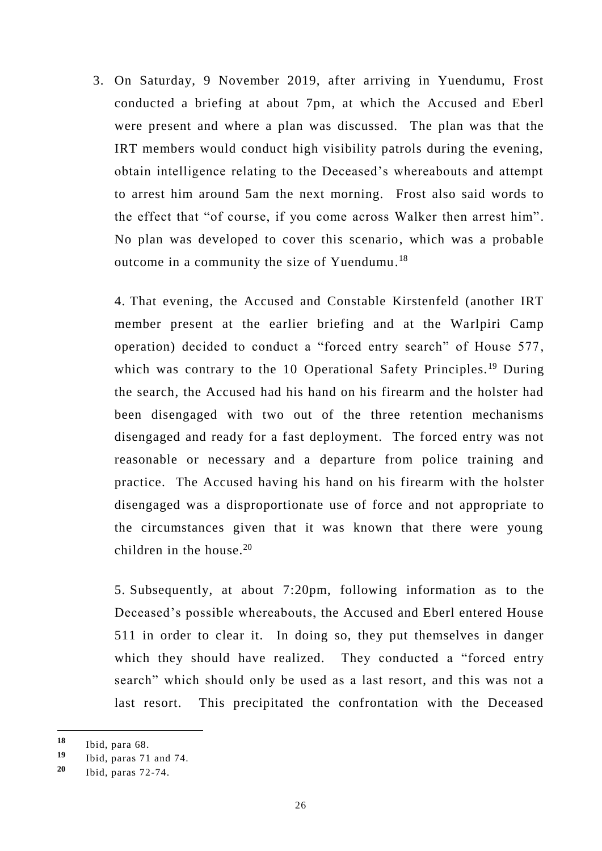3. On Saturday, 9 November 2019, after arriving in Yuendumu, Frost conducted a briefing at about 7pm, at which the Accused and Eberl were present and where a plan was discussed. The plan was that the IRT members would conduct high visibility patrols during the evening, obtain intelligence relating to the Deceased's whereabouts and attempt to arrest him around 5am the next morning. Frost also said words to the effect that "of course, if you come across Walker then arrest him". No plan was developed to cover this scenario, which was a probable outcome in a community the size of Yuendumu.<sup>18</sup>

4. That evening, the Accused and Constable Kirstenfeld (another IRT member present at the earlier briefing and at the Warlpiri Camp operation) decided to conduct a "forced entry search" of House 577, which was contrary to the 10 Operational Safety Principles.<sup>19</sup> During the search, the Accused had his hand on his firearm and the holster had been disengaged with two out of the three retention mechanisms disengaged and ready for a fast deployment. The forced entry was not reasonable or necessary and a departure from police training and practice. The Accused having his hand on his firearm with the holster disengaged was a disproportionate use of force and not appropriate to the circumstances given that it was known that there were young children in the house.<sup>20</sup>

5. Subsequently, at about 7:20pm, following information as to the Deceased's possible whereabouts, the Accused and Eberl entered House 511 in order to clear it. In doing so, they put themselves in danger which they should have realized. They conducted a "forced entry" search" which should only be used as a last resort, and this was not a last resort. This precipitated the confrontation with the Deceased

-

**<sup>18</sup>** Ibid, para 68.

**<sup>19</sup>** Ibid, paras 71 and 74.

**<sup>20</sup>** Ibid, paras 72-74.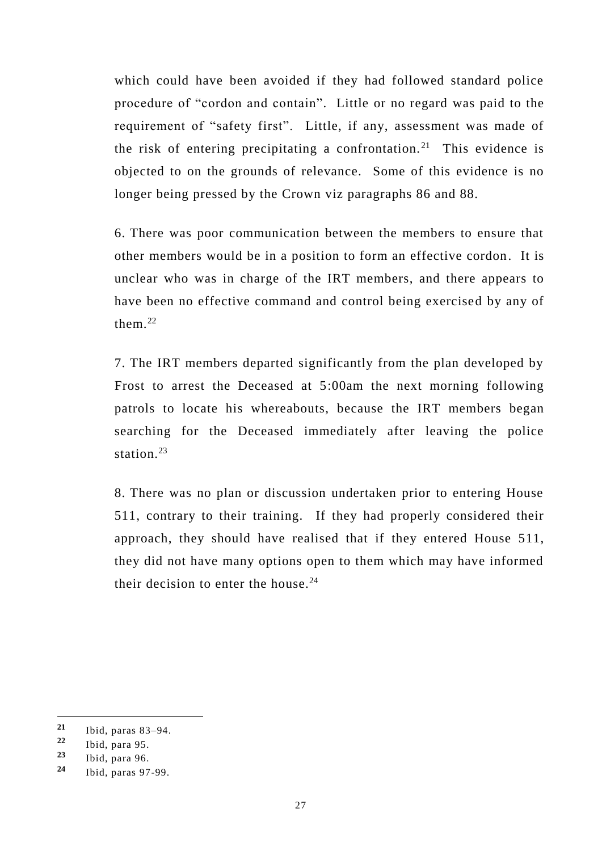which could have been avoided if they had followed standard police procedure of "cordon and contain". Little or no regard was paid to the requirement of "safety first". Little, if any, assessment was made of the risk of entering precipitating a confrontation.<sup>21</sup> This evidence is objected to on the grounds of relevance. Some of this evidence is no longer being pressed by the Crown viz paragraphs 86 and 88.

6. There was poor communication between the members to ensure that other members would be in a position to form an effective cordon. It is unclear who was in charge of the IRT members, and there appears to have been no effective command and control being exercised by any of them. 22

7. The IRT members departed significantly from the plan developed by Frost to arrest the Deceased at 5:00am the next morning following patrols to locate his whereabouts, because the IRT members began searching for the Deceased immediately after leaving the police station. 23

8. There was no plan or discussion undertaken prior to entering House 511, contrary to their training. If they had properly considered their approach, they should have realised that if they entered House 511, they did not have many options open to them which may have informed their decision to enter the house. $^{24}$ 

-

**<sup>21</sup>** Ibid, paras 83–94.

**<sup>22</sup>** Ibid, para 95.

**<sup>23</sup>** Ibid, para 96.

**<sup>24</sup>** Ibid, paras 97-99.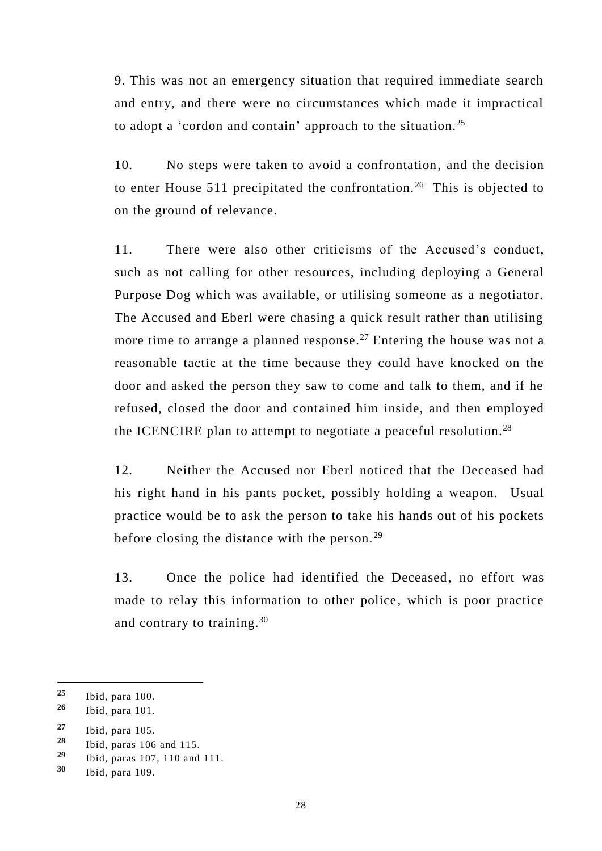9. This was not an emergency situation that required immediate search and entry, and there were no circumstances which made it impractical to adopt a 'cordon and contain' approach to the situation.<sup>25</sup>

10. No steps were taken to avoid a confrontation, and the decision to enter House 511 precipitated the confrontation. <sup>26</sup> This is objected to on the ground of relevance.

11. There were also other criticisms of the Accused's conduct, such as not calling for other resources, including deploying a General Purpose Dog which was available, or utilising someone as a negotiator. The Accused and Eberl were chasing a quick result rather than utilising more time to arrange a planned response.<sup>27</sup> Entering the house was not a reasonable tactic at the time because they could have knocked on the door and asked the person they saw to come and talk to them, and if he refused, closed the door and contained him inside, and then employed the ICENCIRE plan to attempt to negotiate a peaceful resolution.<sup>28</sup>

12. Neither the Accused nor Eberl noticed that the Deceased had his right hand in his pants pocket, possibly holding a weapon. Usual practice would be to ask the person to take his hands out of his pockets before closing the distance with the person.<sup>29</sup>

13. Once the police had identified the Deceased, no effort was made to relay this information to other police, which is poor practice and contrary to training. 30

**<sup>25</sup>** Ibid, para 100.

**<sup>26</sup>** Ibid, para 101.

**<sup>27</sup>** Ibid, para 105.

**<sup>28</sup>** Ibid, paras 106 and 115.

**<sup>29</sup>** Ibid, paras 107, 110 and 111.

**<sup>30</sup>** Ibid, para 109.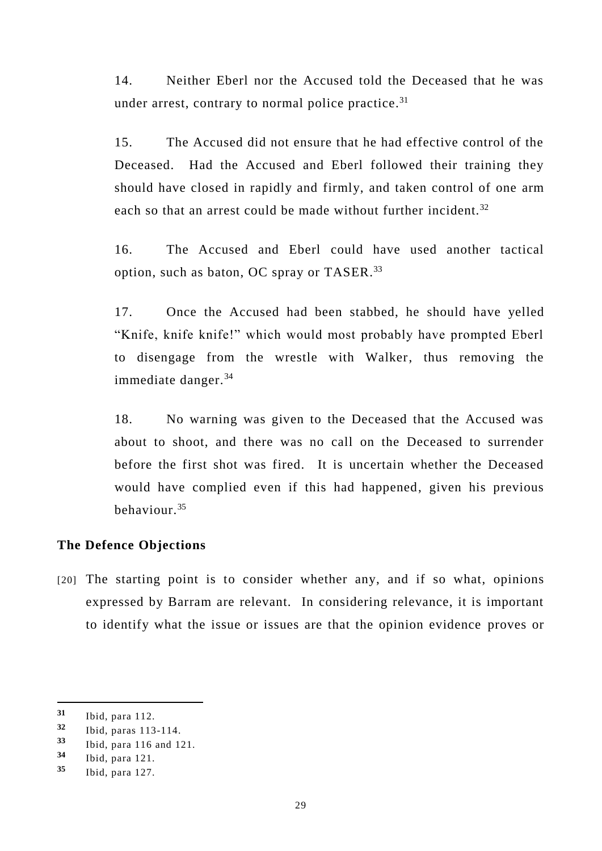14. Neither Eberl nor the Accused told the Deceased that he was under arrest, contrary to normal police practice.<sup>31</sup>

15. The Accused did not ensure that he had effective control of the Deceased. Had the Accused and Eberl followed their training they should have closed in rapidly and firmly, and taken control of one arm each so that an arrest could be made without further incident.<sup>32</sup>

16. The Accused and Eberl could have used another tactical option, such as baton, OC spray or TASER.<sup>33</sup>

17. Once the Accused had been stabbed, he should have yelled "Knife, knife knife!" which would most probably have prompted Eberl to disengage from the wrestle with Walker, thus removing the immediate danger. $34$ 

18. No warning was given to the Deceased that the Accused was about to shoot, and there was no call on the Deceased to surrender before the first shot was fired. It is uncertain whether the Deceased would have complied even if this had happened, given his previous behaviour.<sup>35</sup>

#### **The Defence Objections**

[20] The starting point is to consider whether any, and if so what, opinions expressed by Barram are relevant. In considering relevance, it is important to identify what the issue or issues are that the opinion evidence proves or

**<sup>31</sup>** Ibid, para 112.

**<sup>32</sup>** Ibid, paras 113-114.

**<sup>33</sup>** Ibid, para 116 and 121.

**<sup>34</sup>** Ibid, para 121.

**<sup>35</sup>** Ibid, para 127.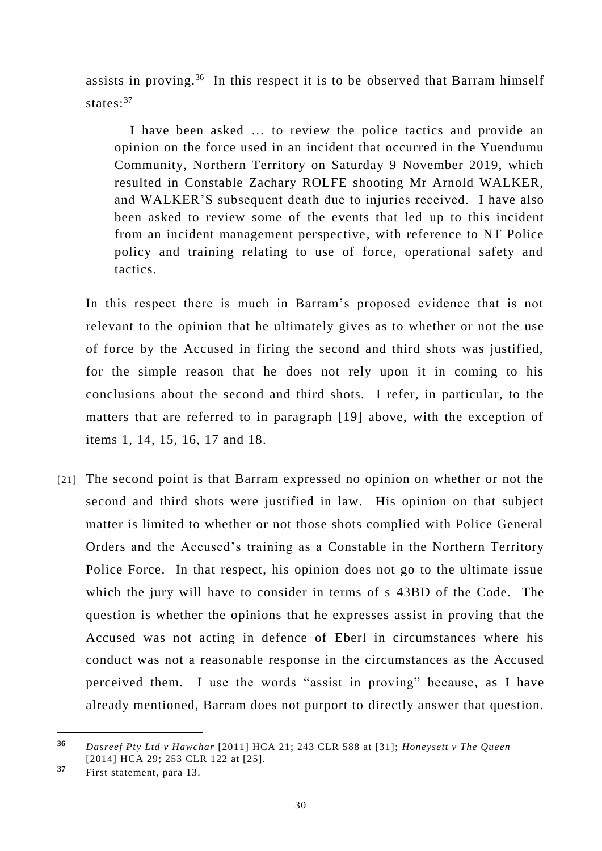assists in proving.<sup>36</sup> In this respect it is to be observed that Barram himself states:<sup>37</sup>

I have been asked … to review the police tactics and provide an opinion on the force used in an incident that occurred in the Yuendumu Community, Northern Territory on Saturday 9 November 2019, which resulted in Constable Zachary ROLFE shooting Mr Arnold WALKER, and WALKER'S subsequent death due to injuries received. I have also been asked to review some of the events that led up to this incident from an incident management perspective, with reference to NT Police policy and training relating to use of force, operational safety and tactics.

In this respect there is much in Barram's proposed evidence that is not relevant to the opinion that he ultimately gives as to whether or not the use of force by the Accused in firing the second and third shots was justified, for the simple reason that he does not rely upon it in coming to his conclusions about the second and third shots. I refer, in particular, to the matters that are referred to in paragraph [19] above, with the exception of items 1, 14, 15, 16, 17 and 18.

[21] The second point is that Barram expressed no opinion on whether or not the second and third shots were justified in law. His opinion on that subject matter is limited to whether or not those shots complied with Police General Orders and the Accused's training as a Constable in the Northern Territory Police Force. In that respect, his opinion does not go to the ultimate issue which the jury will have to consider in terms of s 43BD of the Code. The question is whether the opinions that he expresses assist in proving that the Accused was not acting in defence of Eberl in circumstances where his conduct was not a reasonable response in the circumstances as the Accused perceived them. I use the words "assist in proving" because, as I have already mentioned, Barram does not purport to directly answer that question.

-

**<sup>36</sup>** *Dasreef Pty Ltd v Hawchar* [2011] HCA 21; 243 CLR 588 at [31]; *Honeysett v The Queen* [2014] HCA 29; 253 CLR 122 at [25].

**<sup>37</sup>** First statement, para 13.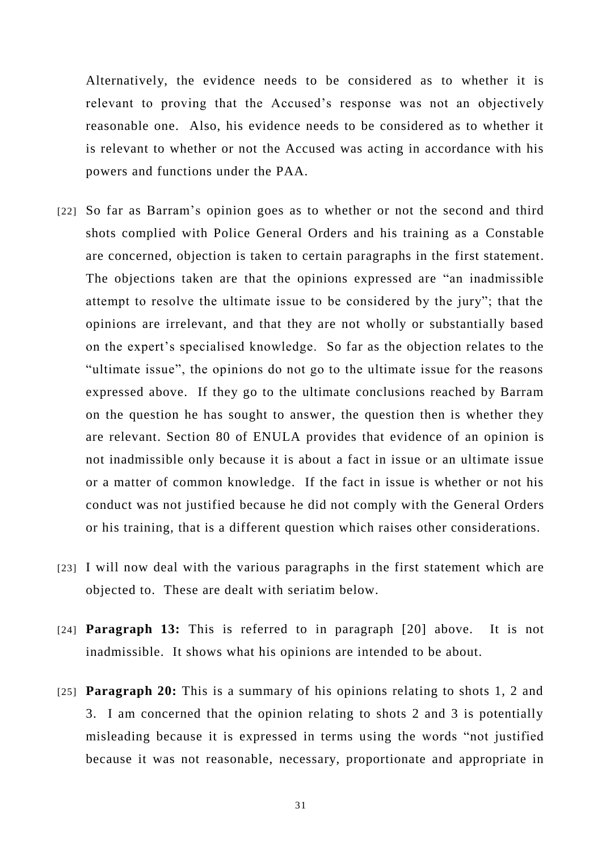Alternatively, the evidence needs to be considered as to whether it is relevant to proving that the Accused's response was not an objectively reasonable one. Also, his evidence needs to be considered as to whether it is relevant to whether or not the Accused was acting in accordance with his powers and functions under the PAA.

- [22] So far as Barram's opinion goes as to whether or not the second and third shots complied with Police General Orders and his training as a Constable are concerned, objection is taken to certain paragraphs in the first statement. The objections taken are that the opinions expressed are "an inadmissible attempt to resolve the ultimate issue to be considered by the jury"; that the opinions are irrelevant, and that they are not wholly or substantially based on the expert's specialised knowledge. So far as the objection relates to the "ultimate issue", the opinions do not go to the ultimate issue for the reasons expressed above. If they go to the ultimate conclusions reached by Barram on the question he has sought to answer, the question then is whether they are relevant. Section 80 of ENULA provides that evidence of an opinion is not inadmissible only because it is about a fact in issue or an ultimate issue or a matter of common knowledge. If the fact in issue is whether or not his conduct was not justified because he did not comply with the General Orders or his training, that is a different question which raises other considerations.
- [23] I will now deal with the various paragraphs in the first statement which are objected to. These are dealt with seriatim below.
- [24] **Paragraph 13:** This is referred to in paragraph [20] above. It is not inadmissible. It shows what his opinions are intended to be about.
- [25] **Paragraph 20:** This is a summary of his opinions relating to shots 1, 2 and 3. I am concerned that the opinion relating to shots 2 and 3 is potentially misleading because it is expressed in terms using the words "not justified because it was not reasonable, necessary, proportionate and appropriate in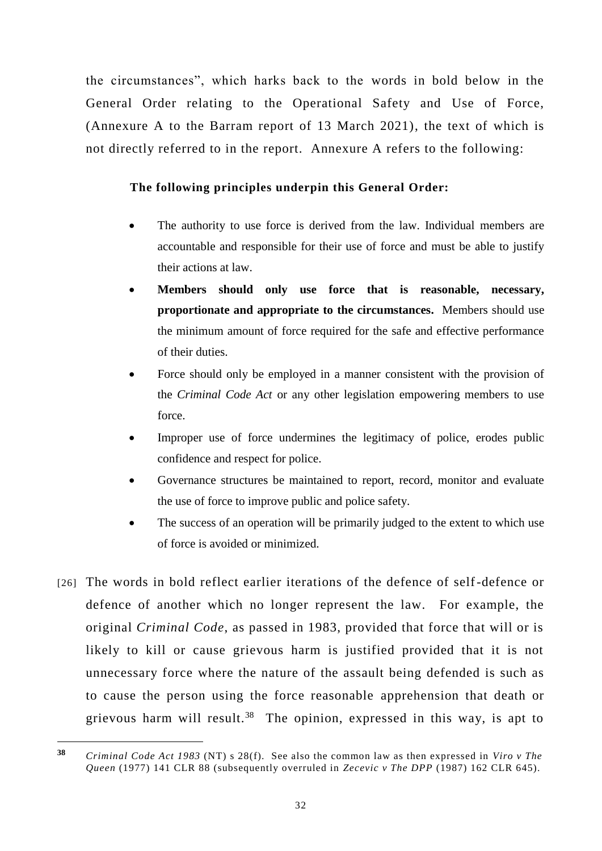the circumstances", which harks back to the words in bold below in the General Order relating to the Operational Safety and Use of Force, (Annexure A to the Barram report of 13 March 2021), the text of which is not directly referred to in the report. Annexure A refers to the following:

# **The following principles underpin this General Order:**

- The authority to use force is derived from the law. Individual members are accountable and responsible for their use of force and must be able to justify their actions at law.
- **Members should only use force that is reasonable, necessary, proportionate and appropriate to the circumstances.** Members should use the minimum amount of force required for the safe and effective performance of their duties.
- Force should only be employed in a manner consistent with the provision of the *Criminal Code Act* or any other legislation empowering members to use force.
- Improper use of force undermines the legitimacy of police, erodes public confidence and respect for police.
- Governance structures be maintained to report, record, monitor and evaluate the use of force to improve public and police safety.
- The success of an operation will be primarily judged to the extent to which use of force is avoided or minimized.
- [26] The words in bold reflect earlier iterations of the defence of self-defence or defence of another which no longer represent the law. For example, the original *Criminal Code*, as passed in 1983, provided that force that will or is likely to kill or cause grievous harm is justified provided that it is not unnecessary force where the nature of the assault being defended is such as to cause the person using the force reasonable apprehension that death or grievous harm will result.<sup>38</sup> The opinion, expressed in this way, is apt to

**<sup>38</sup>** *Criminal Code Act 1983* (NT) s 28(f). See also the common law as then expressed in *Viro v The Queen* (1977) 141 CLR 88 (subsequently overruled in *Zecevic v The DPP* (1987) 162 CLR 645).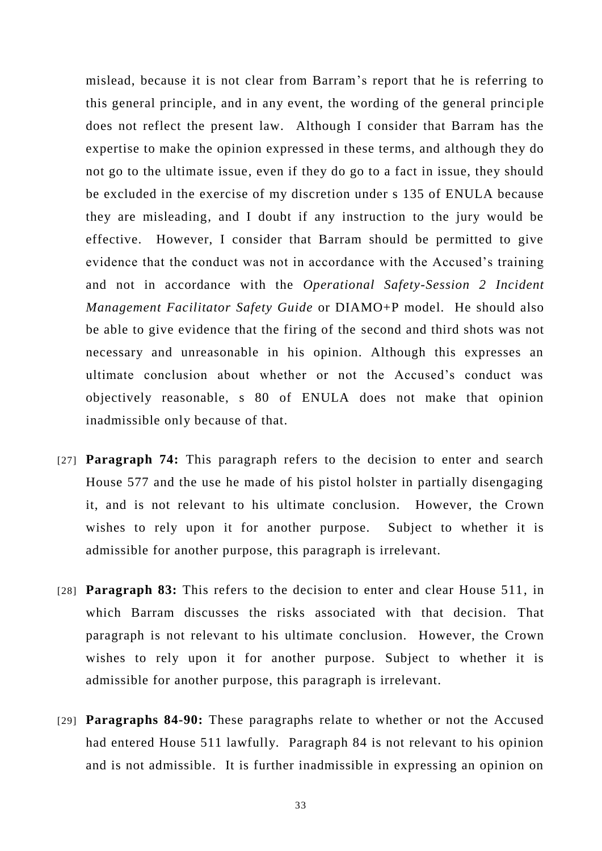mislead, because it is not clear from Barram's report that he is referring to this general principle, and in any event, the wording of the general princi ple does not reflect the present law. Although I consider that Barram has the expertise to make the opinion expressed in these terms, and although they do not go to the ultimate issue, even if they do go to a fact in issue, they should be excluded in the exercise of my discretion under s 135 of ENULA because they are misleading, and I doubt if any instruction to the jury would be effective. However, I consider that Barram should be permitted to give evidence that the conduct was not in accordance with the Accused's training and not in accordance with the *Operational Safety-Session 2 Incident Management Facilitator Safety Guide* or DIAMO+P model. He should also be able to give evidence that the firing of the second and third shots was not necessary and unreasonable in his opinion. Although this expresses an ultimate conclusion about whether or not the Accused's conduct was objectively reasonable, s 80 of ENULA does not make that opinion inadmissible only because of that.

- [27] **Paragraph 74:** This paragraph refers to the decision to enter and search House 577 and the use he made of his pistol holster in partially disengaging it, and is not relevant to his ultimate conclusion. However, the Crown wishes to rely upon it for another purpose. Subject to whether it is admissible for another purpose, this paragraph is irrelevant.
- [28] **Paragraph 83:** This refers to the decision to enter and clear House 511, in which Barram discusses the risks associated with that decision. That paragraph is not relevant to his ultimate conclusion. However, the Crown wishes to rely upon it for another purpose. Subject to whether it is admissible for another purpose, this paragraph is irrelevant.
- [29] **Paragraphs 84-90:** These paragraphs relate to whether or not the Accused had entered House 511 lawfully. Paragraph 84 is not relevant to his opinion and is not admissible. It is further inadmissible in expressing an opinion on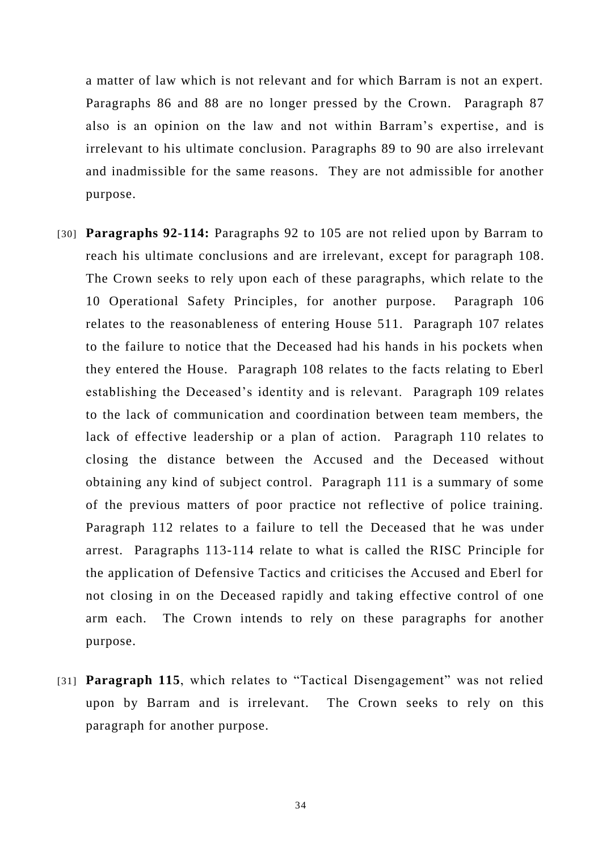a matter of law which is not relevant and for which Barram is not an expert. Paragraphs 86 and 88 are no longer pressed by the Crown. Paragraph 87 also is an opinion on the law and not within Barram's expertise, and is irrelevant to his ultimate conclusion. Paragraphs 89 to 90 are also irrelevant and inadmissible for the same reasons. They are not admissible for another purpose.

- [30] **Paragraphs 92-114:** Paragraphs 92 to 105 are not relied upon by Barram to reach his ultimate conclusions and are irrelevant, except for paragraph 108. The Crown seeks to rely upon each of these paragraphs, which relate to the 10 Operational Safety Principles, for another purpose. Paragraph 106 relates to the reasonableness of entering House 511. Paragraph 107 relates to the failure to notice that the Deceased had his hands in his pockets when they entered the House. Paragraph 108 relates to the facts relating to Eberl establishing the Deceased's identity and is relevant. Paragraph 109 relates to the lack of communication and coordination between team members, the lack of effective leadership or a plan of action. Paragraph 110 relates to closing the distance between the Accused and the Deceased without obtaining any kind of subject control. Paragraph 111 is a summary of some of the previous matters of poor practice not reflective of police training. Paragraph 112 relates to a failure to tell the Deceased that he was under arrest. Paragraphs 113-114 relate to what is called the RISC Principle for the application of Defensive Tactics and criticises the Accused and Eberl for not closing in on the Deceased rapidly and taking effective control of one arm each. The Crown intends to rely on these paragraphs for another purpose.
- [31] **Paragraph 115**, which relates to "Tactical Disengagement" was not relied upon by Barram and is irrelevant. The Crown seeks to rely on this paragraph for another purpose.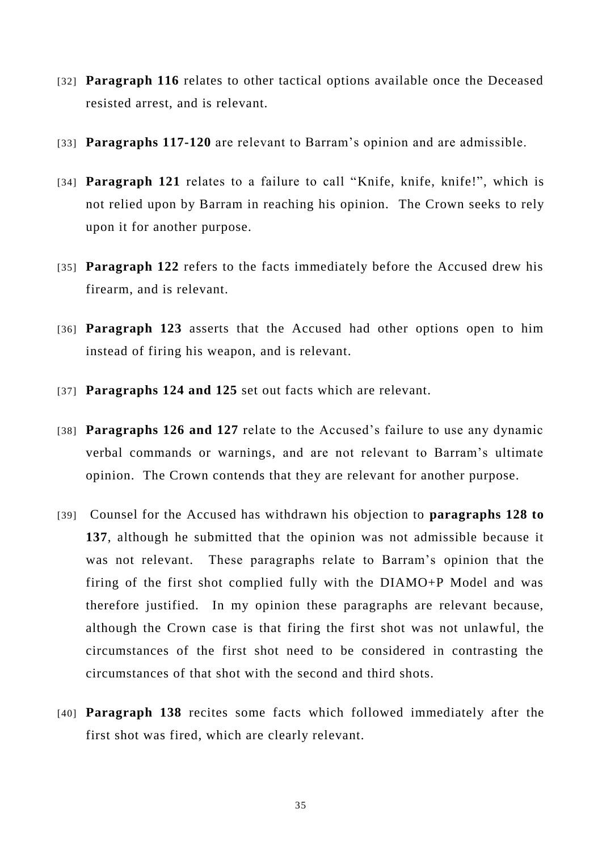- [32] **Paragraph 116** relates to other tactical options available once the Deceased resisted arrest, and is relevant.
- [33] **Paragraphs 117-120** are relevant to Barram's opinion and are admissible.
- [34] **Paragraph 121** relates to a failure to call "Knife, knife, knife!", which is not relied upon by Barram in reaching his opinion. The Crown seeks to rely upon it for another purpose.
- [35] **Paragraph 122** refers to the facts immediately before the Accused drew his firearm, and is relevant.
- [36] **Paragraph 123** asserts that the Accused had other options open to him instead of firing his weapon, and is relevant.
- [37] **Paragraphs 124 and 125** set out facts which are relevant.
- [38] **Paragraphs 126 and 127** relate to the Accused's failure to use any dynamic verbal commands or warnings, and are not relevant to Barram's ultimate opinion. The Crown contends that they are relevant for another purpose.
- [39] Counsel for the Accused has withdrawn his objection to **paragraphs 128 to 137**, although he submitted that the opinion was not admissible because it was not relevant. These paragraphs relate to Barram's opinion that the firing of the first shot complied fully with the DIAMO+P Model and was therefore justified. In my opinion these paragraphs are relevant because, although the Crown case is that firing the first shot was not unlawful, the circumstances of the first shot need to be considered in contrasting the circumstances of that shot with the second and third shots.
- [40] **Paragraph 138** recites some facts which followed immediately after the first shot was fired, which are clearly relevant.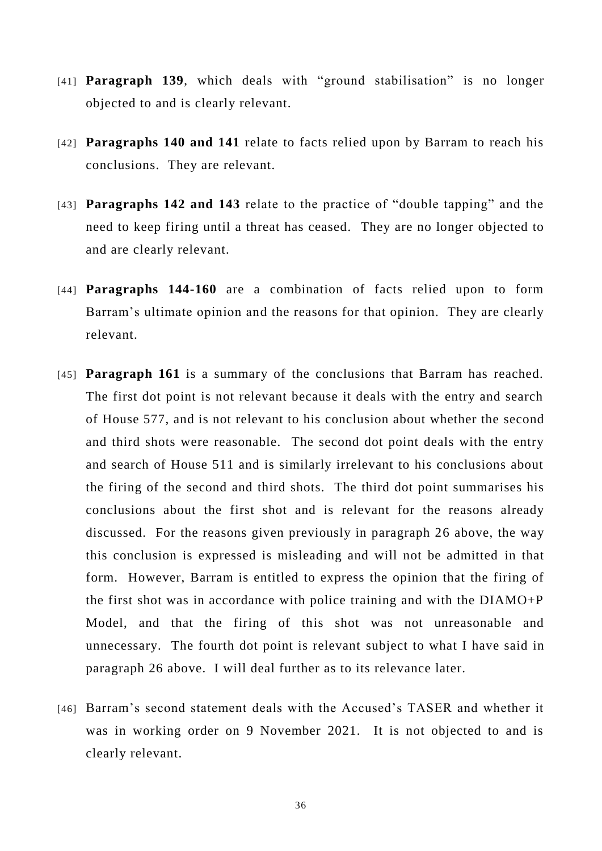- [41] **Paragraph 139**, which deals with "ground stabilisation" is no longer objected to and is clearly relevant.
- [42] **Paragraphs 140 and 141** relate to facts relied upon by Barram to reach his conclusions. They are relevant.
- [43] **Paragraphs 142 and 143** relate to the practice of "double tapping" and the need to keep firing until a threat has ceased. They are no longer objected to and are clearly relevant.
- [44] **Paragraphs 144-160** are a combination of facts relied upon to form Barram's ultimate opinion and the reasons for that opinion. They are clearly relevant.
- [45] **Paragraph 161** is a summary of the conclusions that Barram has reached. The first dot point is not relevant because it deals with the entry and search of House 577, and is not relevant to his conclusion about whether the second and third shots were reasonable. The second dot point deals with the entry and search of House 511 and is similarly irrelevant to his conclusions about the firing of the second and third shots. The third dot point summarises his conclusions about the first shot and is relevant for the reasons already discussed. For the reasons given previously in paragraph 26 above, the way this conclusion is expressed is misleading and will not be admitted in that form. However, Barram is entitled to express the opinion that the firing of the first shot was in accordance with police training and with the DIAMO+P Model, and that the firing of this shot was not unreasonable and unnecessary. The fourth dot point is relevant subject to what I have said in paragraph 26 above. I will deal further as to its relevance later.
- [46] Barram's second statement deals with the Accused's TASER and whether it was in working order on 9 November 2021. It is not objected to and is clearly relevant.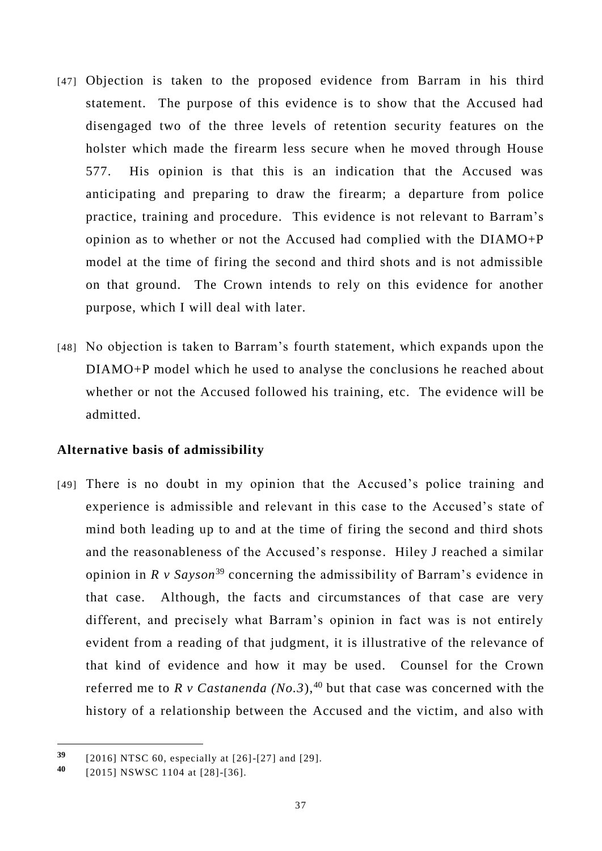- [47] Objection is taken to the proposed evidence from Barram in his third statement. The purpose of this evidence is to show that the Accused had disengaged two of the three levels of retention security features on the holster which made the firearm less secure when he moved through House 577. His opinion is that this is an indication that the Accused was anticipating and preparing to draw the firearm; a departure from police practice, training and procedure. This evidence is not relevant to Barram's opinion as to whether or not the Accused had complied with the DIAMO+P model at the time of firing the second and third shots and is not admissible on that ground. The Crown intends to rely on this evidence for another purpose, which I will deal with later.
- [48] No objection is taken to Barram's fourth statement, which expands upon the DIAMO+P model which he used to analyse the conclusions he reached about whether or not the Accused followed his training, etc. The evidence will be admitted.

### **Alternative basis of admissibility**

[49] There is no doubt in my opinion that the Accused's police training and experience is admissible and relevant in this case to the Accused's state of mind both leading up to and at the time of firing the second and third shots and the reasonableness of the Accused's response. Hiley J reached a similar opinion in *R v Sayson*<sup>39</sup> concerning the admissibility of Barram's evidence in that case. Although, the facts and circumstances of that case are very different, and precisely what Barram's opinion in fact was is not entirely evident from a reading of that judgment, it is illustrative of the relevance of that kind of evidence and how it may be used. Counsel for the Crown referred me to *R v Castanenda (No.3*), <sup>40</sup> but that case was concerned with the history of a relationship between the Accused and the victim, and also with

**<sup>39</sup>** [2016] NTSC 60, especially at [26]-[27] and [29].

**<sup>40</sup>** [2015] NSWSC 1104 at [28]-[36].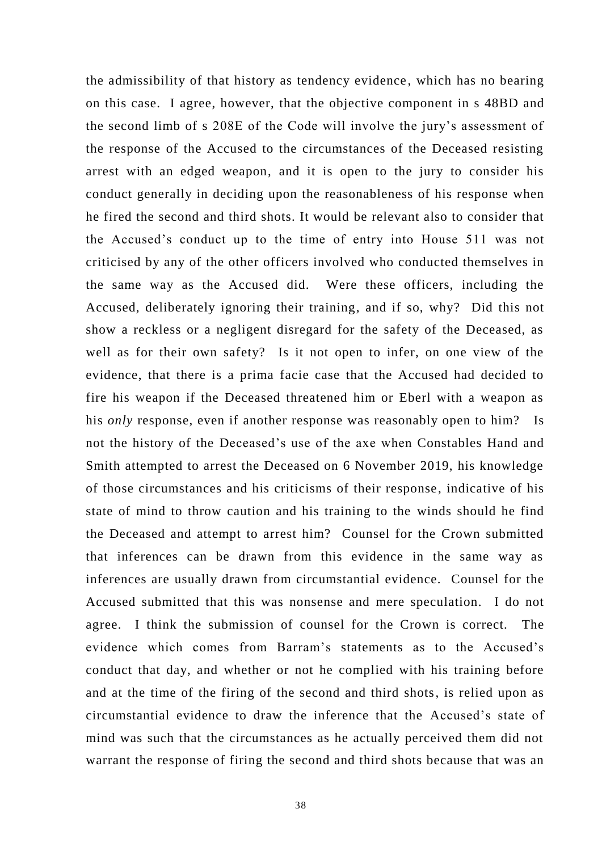the admissibility of that history as tendency evidence , which has no bearing on this case. I agree, however, that the objective component in s 48BD and the second limb of s 208E of the Code will involve the jury's assessment of the response of the Accused to the circumstances of the Deceased resisting arrest with an edged weapon, and it is open to the jury to consider his conduct generally in deciding upon the reasonableness of his response when he fired the second and third shots. It would be relevant also to consider that the Accused's conduct up to the time of entry into House 511 was not criticised by any of the other officers involved who conducted themselves in the same way as the Accused did. Were these officers, including the Accused, deliberately ignoring their training, and if so, why? Did this not show a reckless or a negligent disregard for the safety of the Deceased, as well as for their own safety? Is it not open to infer, on one view of the evidence, that there is a prima facie case that the Accused had decided to fire his weapon if the Deceased threatened him or Eberl with a weapon as his *only* response, even if another response was reasonably open to him? Is not the history of the Deceased's use of the axe when Constables Hand and Smith attempted to arrest the Deceased on 6 November 2019, his knowledge of those circumstances and his criticisms of their response , indicative of his state of mind to throw caution and his training to the winds should he find the Deceased and attempt to arrest him? Counsel for the Crown submitted that inferences can be drawn from this evidence in the same way as inferences are usually drawn from circumstantial evidence. Counsel for the Accused submitted that this was nonsense and mere speculation. I do not agree. I think the submission of counsel for the Crown is correct. The evidence which comes from Barram's statements as to the Accused's conduct that day, and whether or not he complied with his training before and at the time of the firing of the second and third shots, is relied upon as circumstantial evidence to draw the inference that the Accused's state of mind was such that the circumstances as he actually perceived them did not warrant the response of firing the second and third shots because that was an

38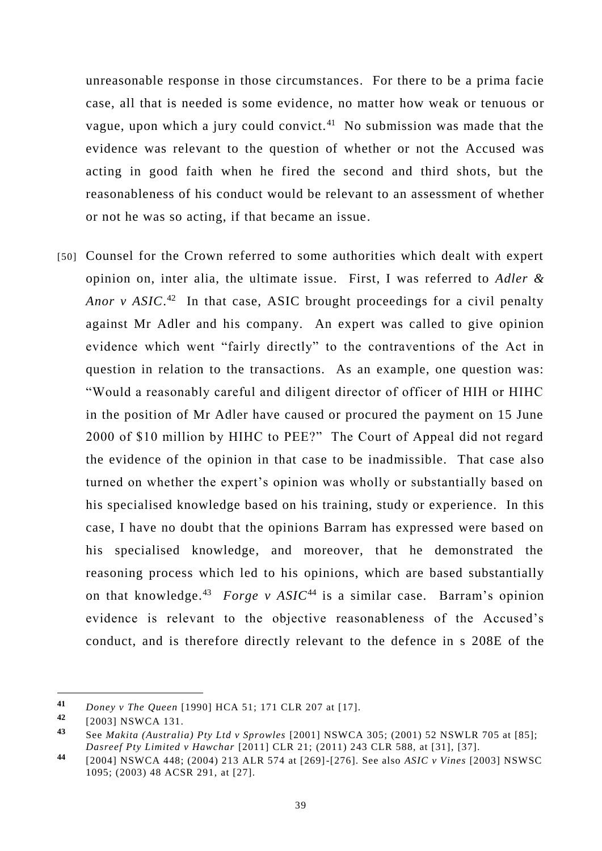unreasonable response in those circumstances. For there to be a prima facie case, all that is needed is some evidence, no matter how weak or tenuous or vague, upon which a jury could convict. <sup>41</sup> No submission was made that the evidence was relevant to the question of whether or not the Accused was acting in good faith when he fired the second and third shots, but the reasonableness of his conduct would be relevant to an assessment of whether or not he was so acting, if that became an issue.

[50] Counsel for the Crown referred to some authorities which dealt with expert opinion on, inter alia, the ultimate issue. First, I was referred to *Adler &*  Anor v ASIC.<sup>42</sup> In that case, ASIC brought proceedings for a civil penalty against Mr Adler and his company. An expert was called to give opinion evidence which went "fairly directly" to the contraventions of the Act in question in relation to the transactions. As an example, one question was: "Would a reasonably careful and diligent director of officer of HIH or HIHC in the position of Mr Adler have caused or procured the payment on 15 June 2000 of \$10 million by HIHC to PEE?" The Court of Appeal did not regard the evidence of the opinion in that case to be inadmissible. That case also turned on whether the expert's opinion was wholly or substantially based on his specialised knowledge based on his training, study or experience. In this case, I have no doubt that the opinions Barram has expressed were based on his specialised knowledge, and moreover, that he demonstrated the reasoning process which led to his opinions, which are based substantially on that knowledge.<sup>43</sup> *Forge v ASIC*<sup>44</sup> is a similar case. Barram's opinion evidence is relevant to the objective reasonableness of the Accused's conduct, and is therefore directly relevant to the defence in s 208E of the

**<sup>41</sup>** *Doney v The Queen* [1990] HCA 51; 171 CLR 207 at [17].

**<sup>42</sup>** [2003] NSWCA 131.

**<sup>43</sup>** See *Makita (Australia) Pty Ltd v Sprowles* [2001] NSWCA 305; (2001) 52 NSWLR 705 at [85]; *Dasreef Pty Limited v Hawchar* [2011] CLR 21; (2011) 243 CLR 588, at [31], [37].

**<sup>44</sup>** [2004] NSWCA 448; (2004) 213 ALR 574 at [269]-[276]. See also *ASIC v Vines* [2003] NSWSC 1095; (2003) 48 ACSR 291, at [27].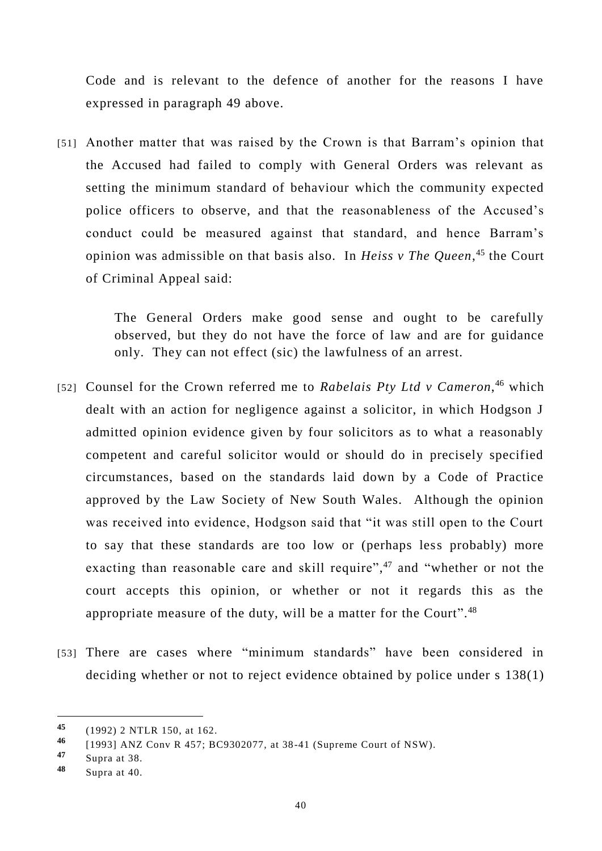Code and is relevant to the defence of another for the reasons I have expressed in paragraph 49 above.

[51] Another matter that was raised by the Crown is that Barram's opinion that the Accused had failed to comply with General Orders was relevant as setting the minimum standard of behaviour which the community expected police officers to observe, and that the reasonableness of the Accused's conduct could be measured against that standard, and hence Barram's opinion was admissible on that basis also. In *Heiss v The Queen*, <sup>45</sup> the Court of Criminal Appeal said:

> The General Orders make good sense and ought to be carefully observed, but they do not have the force of law and are for guidance only. They can not effect (sic) the lawfulness of an arrest.

- [52] Counsel for the Crown referred me to Rabelais Pty Ltd v Cameron,<sup>46</sup> which dealt with an action for negligence against a solicitor, in which Hodgson J admitted opinion evidence given by four solicitors as to what a reasonably competent and careful solicitor would or should do in precisely specified circumstances, based on the standards laid down by a Code of Practice approved by the Law Society of New South Wales. Although the opinion was received into evidence, Hodgson said that "it was still open to the Court to say that these standards are too low or (perhaps less probably) more exacting than reasonable care and skill require",<sup>47</sup> and "whether or not the court accepts this opinion, or whether or not it regards this as the appropriate measure of the duty, will be a matter for the Court".<sup>48</sup>
- [53] There are cases where "minimum standards" have been considered in deciding whether or not to reject evidence obtained by police under s 138(1)

-

**<sup>45</sup>** (1992) 2 NTLR 150, at 162.

**<sup>46</sup>** [1993] ANZ Conv R 457; BC9302077, at 38 -41 (Supreme Court of NSW).

**<sup>47</sup>** Supra at 38.

**<sup>48</sup>** Supra at 40.